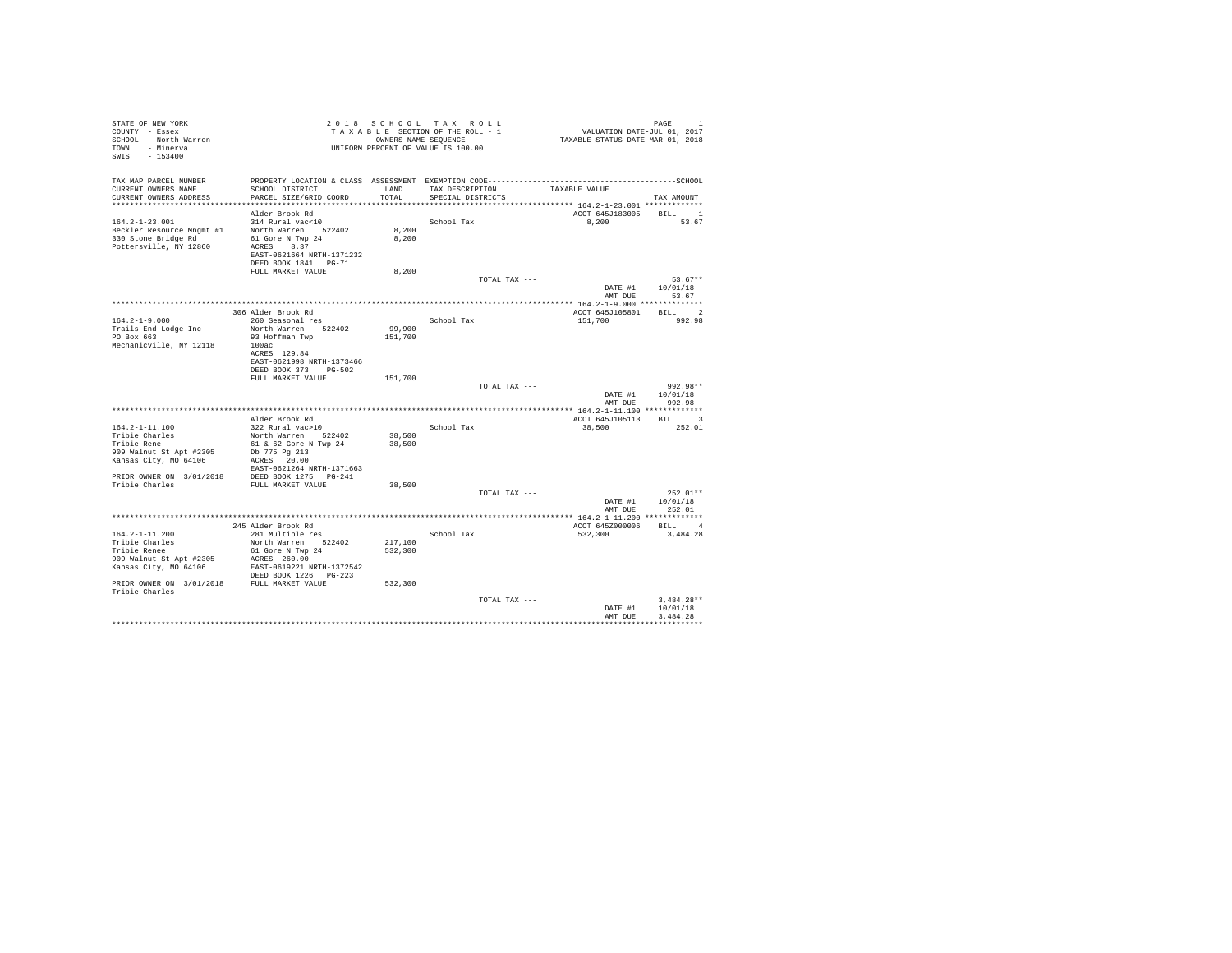| STATE OF NEW YORK<br>COUNTY - Essex<br>SCHOOL - North Warren<br>TOWN - Minerva<br>SWIS - 153400 |                                           |         | 2018 SCHOOL TAX ROLL<br>TAXABLE SECTION OF THE ROLL - 1<br>OWNERS NAME SEQUENCE<br>UNIFORM PERCENT OF VALUE IS 100.00 | VALUATION DATE-JUL 01, 2017<br>TAXABLE STATUS DATE-MAR 01, 2018 | PAGE<br>$\overline{1}$     |
|-------------------------------------------------------------------------------------------------|-------------------------------------------|---------|-----------------------------------------------------------------------------------------------------------------------|-----------------------------------------------------------------|----------------------------|
| TAX MAP PARCEL NUMBER<br>CURRENT OWNERS NAME                                                    | SCHOOL DISTRICT                           |         | LAND TAX DESCRIPTION                                                                                                  |                                                                 |                            |
| CURRENT OWNERS ADDRESS                                                                          | PARCEL SIZE/GRID COORD                    | TOTAL   | SPECIAL DISTRICTS                                                                                                     | TAXABLE VALUE                                                   | TAX AMOUNT                 |
|                                                                                                 |                                           |         |                                                                                                                       |                                                                 |                            |
|                                                                                                 | Alder Brook Rd                            |         |                                                                                                                       | ACCT 645J183005                                                 | $_{\rm BILL}$ $\qquad$ $1$ |
| $164.2 - 1 - 23.001$                                                                            | 314 Rural vac<10                          |         | School Tax                                                                                                            | 8,200                                                           | 53.67                      |
| Beckler Resource Mngmt #1                                                                       | North Warren 522402                       | 8,200   |                                                                                                                       |                                                                 |                            |
| 330 Stone Bridge Rd                                                                             | 61 Gore N Twp 24                          | 8,200   |                                                                                                                       |                                                                 |                            |
| Pottersville, NY 12860                                                                          | ACRES 8.37                                |         |                                                                                                                       |                                                                 |                            |
|                                                                                                 | EAST-0621664 NRTH-1371232                 |         |                                                                                                                       |                                                                 |                            |
|                                                                                                 | DEED BOOK 1841 PG-71                      |         |                                                                                                                       |                                                                 |                            |
|                                                                                                 | FULL MARKET VALUE                         | 8,200   | TOTAL TAX ---                                                                                                         |                                                                 | $53.67**$                  |
|                                                                                                 |                                           |         |                                                                                                                       | DATE #1                                                         | 10/01/18                   |
|                                                                                                 |                                           |         |                                                                                                                       | AMT DUE                                                         | 53.67                      |
|                                                                                                 |                                           |         |                                                                                                                       |                                                                 |                            |
|                                                                                                 | 306 Alder Brook Rd                        |         |                                                                                                                       | ACCT 645J105801                                                 | BILL 2                     |
| $164.2 - 1 - 9.000$                                                                             | 260 Seasonal res                          |         | School Tax                                                                                                            | 151,700                                                         | 992.98                     |
| Trails End Lodge Inc                                                                            | North Warren 522402                       | 99,900  |                                                                                                                       |                                                                 |                            |
| PO Box 663                                                                                      | 93 Hoffman Twp                            | 151,700 |                                                                                                                       |                                                                 |                            |
| Mechanicville, NY 12118                                                                         | 100ac<br>ACRES 129.84                     |         |                                                                                                                       |                                                                 |                            |
|                                                                                                 | EAST-0621998 NRTH-1373466                 |         |                                                                                                                       |                                                                 |                            |
|                                                                                                 | DEED BOOK 373 PG-502                      |         |                                                                                                                       |                                                                 |                            |
|                                                                                                 | FULL MARKET VALUE                         | 151,700 |                                                                                                                       |                                                                 |                            |
|                                                                                                 |                                           |         | TOTAL TAX ---                                                                                                         |                                                                 | 992.98**                   |
|                                                                                                 |                                           |         |                                                                                                                       | DATE #1                                                         | 10/01/18                   |
|                                                                                                 |                                           |         |                                                                                                                       | AMT DUE                                                         | 992.98                     |
|                                                                                                 | Alder Brook Rd                            |         |                                                                                                                       | ACCT 645J105113                                                 | BILL 3                     |
| 164.2-1-11.100                                                                                  | 322 Rural vac>10                          |         | School Tax                                                                                                            | 38,500                                                          | 252.01                     |
| Tribie Charles                                                                                  | North Warren 522402                       | 38,500  |                                                                                                                       |                                                                 |                            |
| Tribie Rene                                                                                     | 61 & 62 Gore N Twp 24                     | 38,500  |                                                                                                                       |                                                                 |                            |
| 909 Walnut St Apt #2305                                                                         | Db 775 Pg 213                             |         |                                                                                                                       |                                                                 |                            |
| Kansas City, MO 64106                                                                           | ACRES 20.00                               |         |                                                                                                                       |                                                                 |                            |
|                                                                                                 | EAST-0621264 NRTH-1371663                 |         |                                                                                                                       |                                                                 |                            |
| PRIOR OWNER ON 3/01/2018 DEED BOOK 1275 PG-241<br>Tribie Charles                                |                                           |         |                                                                                                                       |                                                                 |                            |
|                                                                                                 | FULL MARKET VALUE                         | 38,500  | TOTAL TAX ---                                                                                                         |                                                                 | $252.01**$                 |
|                                                                                                 |                                           |         |                                                                                                                       |                                                                 | DATE #1 10/01/18           |
|                                                                                                 |                                           |         |                                                                                                                       | AMT DUE                                                         | 252.01                     |
|                                                                                                 |                                           |         |                                                                                                                       |                                                                 |                            |
|                                                                                                 | 245 Alder Brook Rd                        |         |                                                                                                                       | ACCT 645Z000006                                                 | BILL 4                     |
| $164.2 - 1 - 11.200$                                                                            | 281 Multiple res                          |         | School Tax                                                                                                            | 532,300                                                         | 3,484,28                   |
| Tribie Charles                                                                                  | North Warren 522402                       | 217,100 |                                                                                                                       |                                                                 |                            |
| Tribie Renee                                                                                    | 61 Gore N Twp 24                          | 532,300 |                                                                                                                       |                                                                 |                            |
| 909 Walnut St Apt #2305<br>Kansas City, MO 64106                                                | ACRES 260.00<br>EAST-0619221 NRTH-1372542 |         |                                                                                                                       |                                                                 |                            |
|                                                                                                 | DEED BOOK 1226 PG-223                     |         |                                                                                                                       |                                                                 |                            |
| PRIOR OWNER ON 3/01/2018 FULL MARKET VALUE                                                      |                                           | 532,300 |                                                                                                                       |                                                                 |                            |
| Tribie Charles                                                                                  |                                           |         |                                                                                                                       |                                                                 |                            |
|                                                                                                 |                                           |         | TOTAL TAX ---                                                                                                         |                                                                 | $3.484.28**$               |
|                                                                                                 |                                           |         |                                                                                                                       | DATE #1                                                         | 10/01/18                   |
|                                                                                                 |                                           |         |                                                                                                                       | AMT DUE                                                         | 3,484.28                   |
|                                                                                                 |                                           |         |                                                                                                                       |                                                                 | .                          |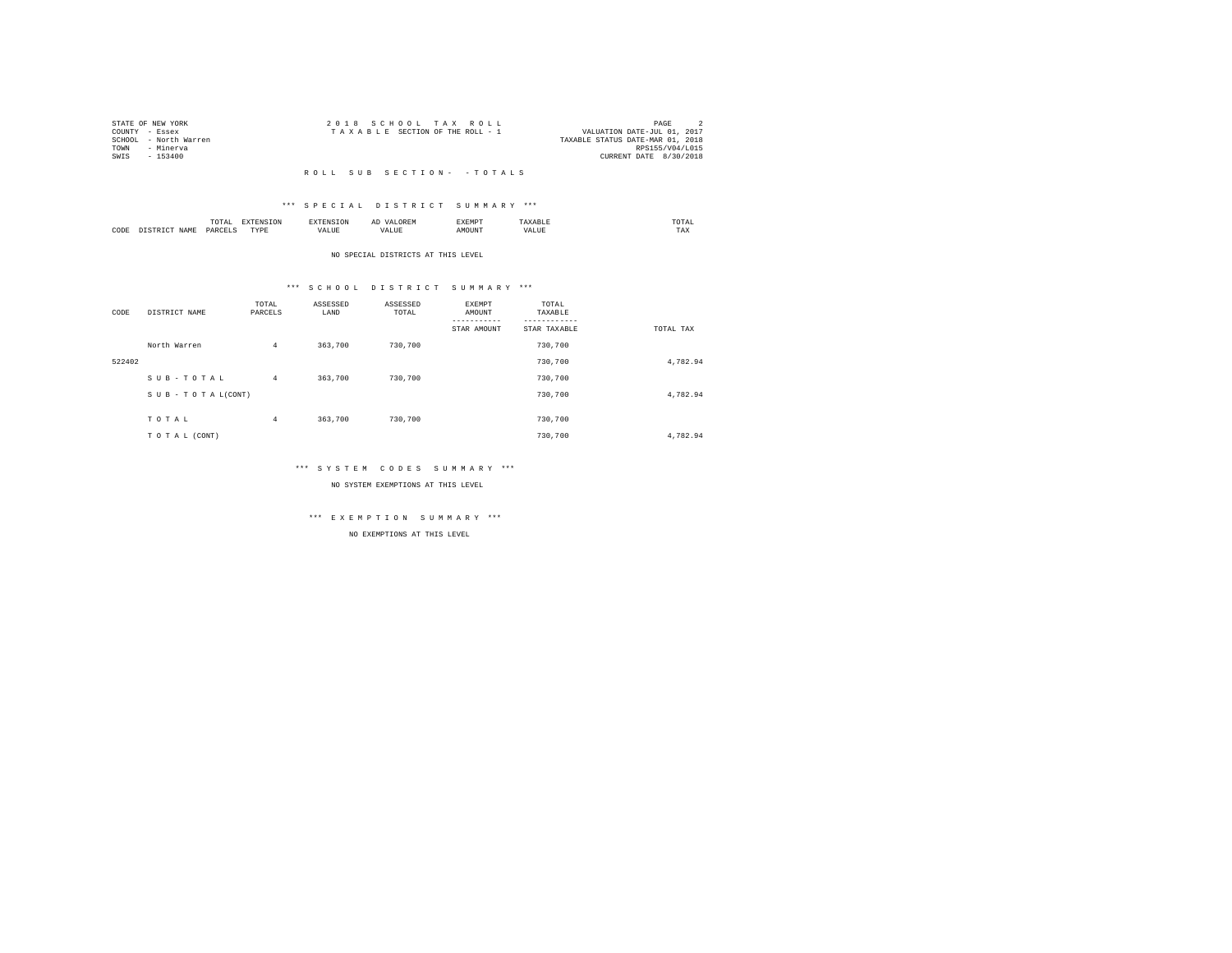|      | STATE OF NEW YORK     | 2018 SCHOOL TAX ROLL                                           | PAGE                   |  |
|------|-----------------------|----------------------------------------------------------------|------------------------|--|
|      | COUNTY - Essex        | VALUATION DATE-JUL 01, 2017<br>TAXABLE SECTION OF THE ROLL - 1 |                        |  |
|      | SCHOOL - North Warren | TAXABLE STATUS DATE-MAR 01, 2018                               |                        |  |
| TOWN | - Minerva             |                                                                | RPS155/V04/L015        |  |
| SWIS | $-153400$             |                                                                | CURRENT DATE 8/30/2018 |  |
|      |                       |                                                                |                        |  |

## R O L L S U B S E C T I O N - - T O T A L S

## \*\*\* S P E C I A L D I S T R I C T S U M M A R Y \*\*\*

|      |      | .             |                  |    | - | <b>EXEMPT</b><br>----- |           | ™UIAL<br>the contract of the contract of the contract of |  |
|------|------|---------------|------------------|----|---|------------------------|-----------|----------------------------------------------------------|--|
| CODE | 14 M | <b>DARCEL</b> | <b>TVDL</b><br>. | ,, |   | )UN.                   | - 19<br>. | $- - - -$<br>1 A.A                                       |  |

#### NO SPECIAL DISTRICTS AT THIS LEVEL

## \*\*\* S C H O O L D I S T R I C T S U M M A R Y \*\*\*

| CODE   | DISTRICT NAME      | TOTAL<br>PARCELS | ASSESSED<br>LAND | ASSESSED<br>TOTAL | EXEMPT<br>AMOUNT<br>STAR AMOUNT | TOTAL<br>TAXABLE<br>STAR TAXABLE | TOTAL TAX |
|--------|--------------------|------------------|------------------|-------------------|---------------------------------|----------------------------------|-----------|
|        | North Warren       | 4                | 363,700          | 730,700           |                                 | 730,700                          |           |
| 522402 |                    |                  |                  |                   |                                 | 730,700                          | 4,782.94  |
|        | SUB-TOTAL          | $\overline{4}$   | 363,700          | 730,700           |                                 | 730,700                          |           |
|        | SUB - TO TAL(CONT) |                  |                  |                   |                                 | 730,700                          | 4,782.94  |
|        |                    |                  |                  | 730,700           |                                 | 730,700                          |           |
|        | TOTAL              | 4                | 363,700          |                   |                                 |                                  |           |
|        | TO TAL (CONT)      |                  |                  |                   |                                 | 730,700                          | 4.782.94  |

## \*\*\* S Y S T E M C O D E S S U M M A R Y \*\*\*

NO SYSTEM EXEMPTIONS AT THIS LEVEL

## \*\*\* E X E M P T I O N S U M M A R Y \*\*\*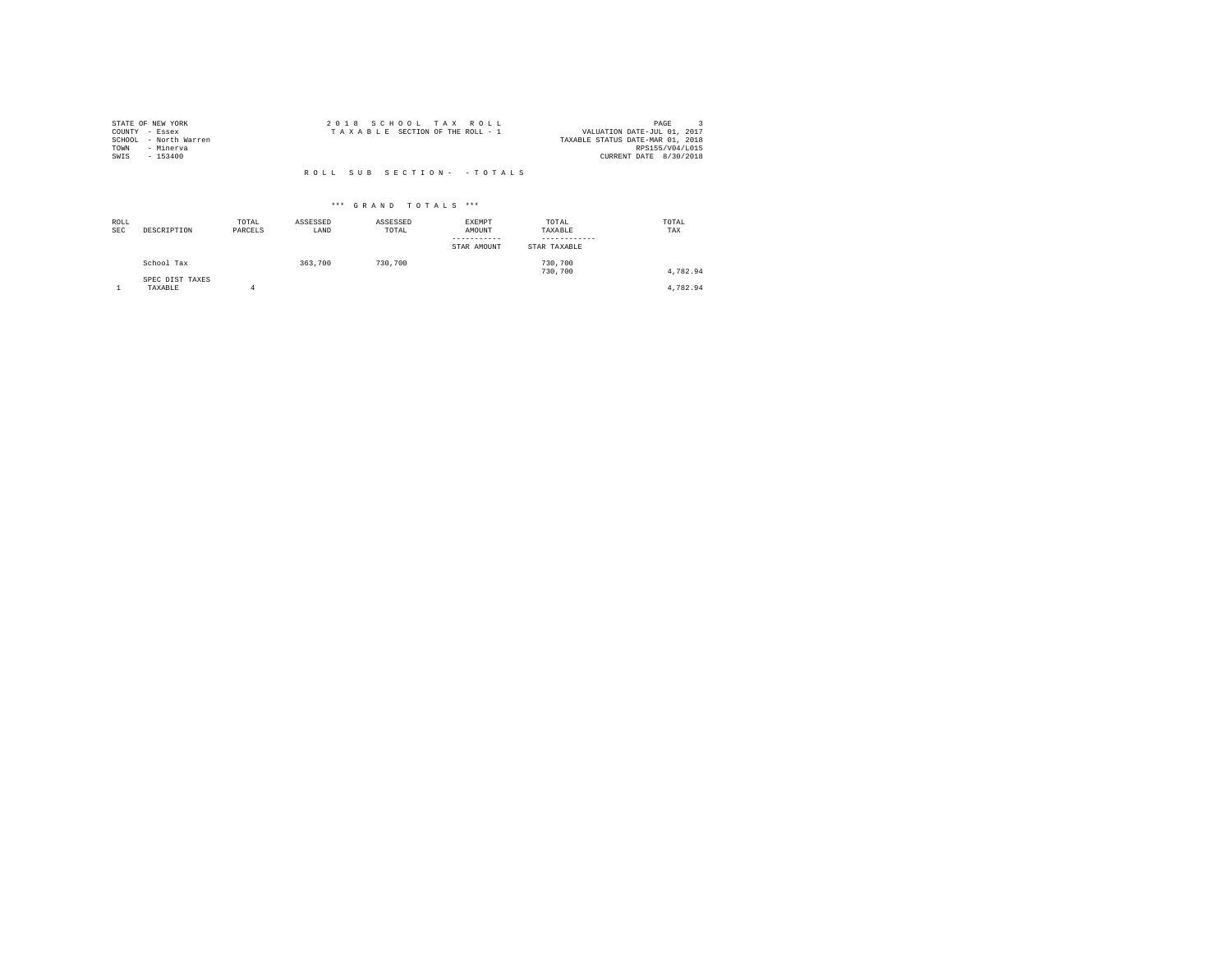|                | STATE OF NEW YORK     | 2018 SCHOOL TAX ROLL            | PAGE                             |
|----------------|-----------------------|---------------------------------|----------------------------------|
| COUNTY - Essex |                       | TAXABLE SECTION OF THE ROLL - 1 | VALUATION DATE-JUL 01, 2017      |
|                | SCHOOL - North Warren |                                 | TAXABLE STATUS DATE-MAR 01, 2018 |
| TOWN           | - Minerva             |                                 | RPS155/V04/L015                  |
| SWIS           | $-153400$             |                                 | CURRENT DATE 8/30/2018           |
|                |                       |                                 |                                  |
|                |                       | ROLL SUB SECTION- - TOTALS      |                                  |

| ROLL<br><b>SEC</b> | DESCRIPTION                | TOTAL<br>PARCELS | ASSESSED<br>LAND | ASSESSED<br>TOTAL | EXEMPT<br>AMOUNT<br>STAR AMOUNT | TOTAL<br>TAXABLE<br>STAR TAXABLE | TOTAL<br>TAX |
|--------------------|----------------------------|------------------|------------------|-------------------|---------------------------------|----------------------------------|--------------|
|                    | School Tax                 |                  | 363,700          | 730,700           |                                 | 730,700<br>730,700               | 4.782.94     |
|                    | SPEC DIST TAXES<br>TAXABLE |                  |                  |                   |                                 |                                  | 4.782.94     |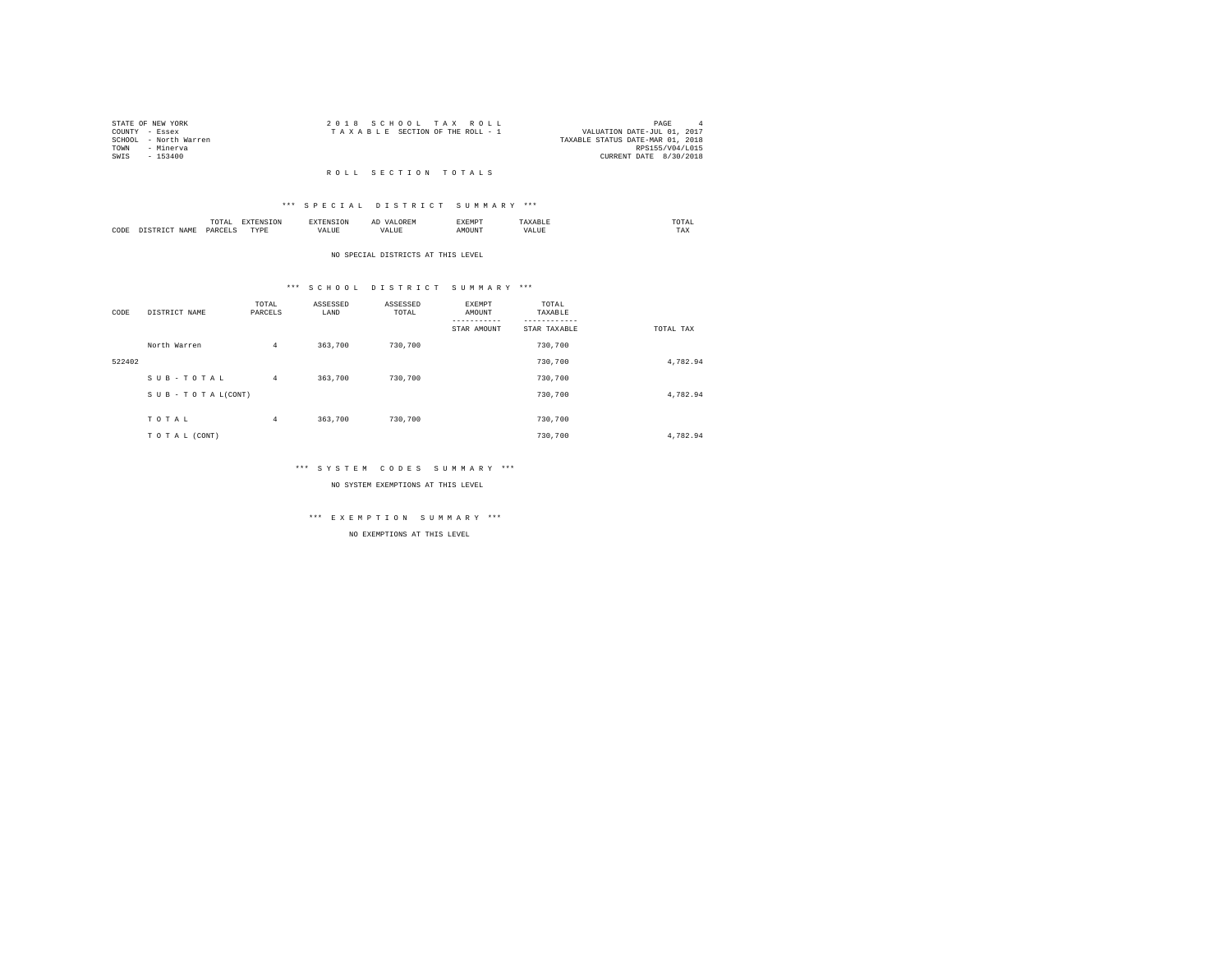|      | STATE OF NEW YORK     |  | 2018 SCHOOL TAX ROLL            |  |                                  |                 | PAGE | $\Delta$ |
|------|-----------------------|--|---------------------------------|--|----------------------------------|-----------------|------|----------|
|      | COUNTY - Essex        |  | TAXABLE SECTION OF THE ROLL - 1 |  | VALUATION DATE-JUL 01, 2017      |                 |      |          |
|      | SCHOOL - North Warren |  |                                 |  | TAXABLE STATUS DATE-MAR 01, 2018 |                 |      |          |
| TOWN | - Minerva             |  |                                 |  |                                  | RPS155/V04/L015 |      |          |
| SWIS | - 153400              |  |                                 |  | CURRENT DATE 8/30/2018           |                 |      |          |
|      |                       |  |                                 |  |                                  |                 |      |          |

## R O L L S E C T I O N T O T A L S

## \*\*\* S P E C I A L D I S T R I C T S U M M A R Y \*\*\*

|      | .              | the contract of the contract of the contract of the contract of the contract of the contract of the contract of | ≖  | .    | the contract of the contract of the contract of |
|------|----------------|-----------------------------------------------------------------------------------------------------------------|----|------|-------------------------------------------------|
| CODE | ODP'<br>$\sim$ | .<br>.                                                                                                          | -- | ראטי | $1 - \Delta$                                    |

#### NO SPECIAL DISTRICTS AT THIS LEVEL

## \*\*\* S C H O O L D I S T R I C T S U M M A R Y \*\*\*

| CODE   | DISTRICT NAME      | TOTAL<br>PARCELS | ASSESSED<br>LAND | ASSESSED<br>TOTAL | EXEMPT<br>AMOUNT<br>STAR AMOUNT | TOTAL<br>TAXABLE<br>STAR TAXABLE | TOTAL TAX |
|--------|--------------------|------------------|------------------|-------------------|---------------------------------|----------------------------------|-----------|
|        | North Warren       | $\overline{4}$   | 363,700          | 730,700           |                                 | 730,700                          |           |
| 522402 |                    |                  |                  |                   |                                 | 730,700                          | 4,782.94  |
|        | SUB-TOTAL          | $4^{\circ}$      | 363,700          | 730,700           |                                 | 730,700                          |           |
|        | SUB - TO TAL(CONT) |                  |                  |                   |                                 | 730,700                          | 4,782.94  |
|        | TOTAL              | 4                | 363,700          | 730,700           |                                 | 730,700                          |           |
|        | TO TAL (CONT)      |                  |                  |                   |                                 | 730,700                          | 4.782.94  |

## \*\*\* S Y S T E M C O D E S S U M M A R Y \*\*\*

NO SYSTEM EXEMPTIONS AT THIS LEVEL

## \*\*\* E X E M P T I O N S U M M A R Y \*\*\*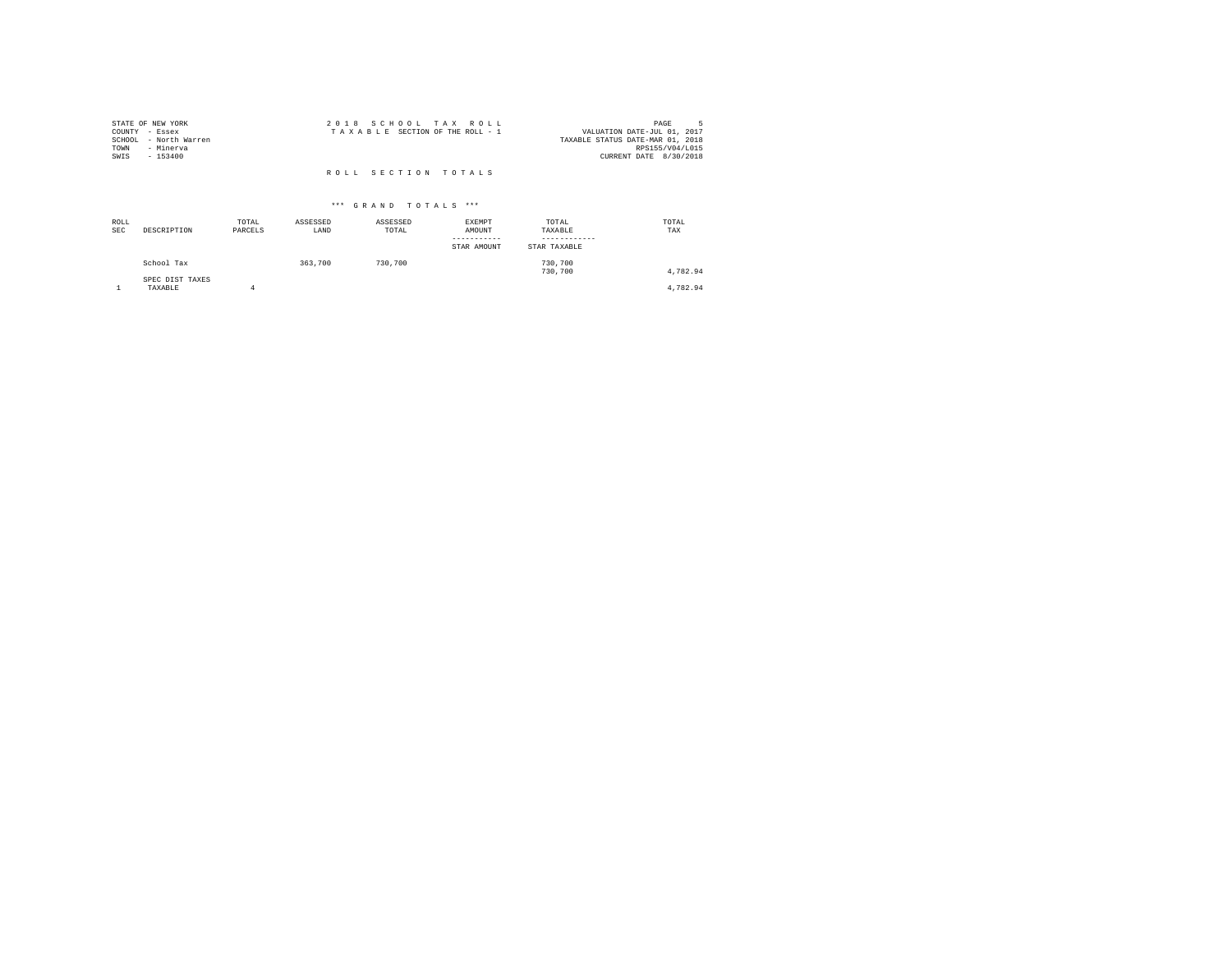| STATE OF NEW YORK     | 2018 SCHOOL TAX ROLL            | PAGE                             |
|-----------------------|---------------------------------|----------------------------------|
| COUNTY - Essex        | TAXABLE SECTION OF THE ROLL - 1 | VALUATION DATE-JUL 01, 2017      |
| SCHOOL - North Warren |                                 | TAXABLE STATUS DATE-MAR 01, 2018 |
| TOWN<br>- Minerva     |                                 | RPS155/V04/L015                  |
| SWIS<br>$-153400$     |                                 | CURRENT DATE 8/30/2018           |
|                       |                                 |                                  |
|                       | ROLL SECTION TOTALS             |                                  |

| ROLL<br><b>SEC</b> | DESCRIPTION                | TOTAL<br>PARCELS | ASSESSED<br>LAND | ASSESSED<br>TOTAL | EXEMPT<br>AMOUNT<br>-----------<br>STAR AMOUNT | TOTAL<br>TAXABLE<br>------------<br>STAR TAXABLE | TOTAL<br>TAX |
|--------------------|----------------------------|------------------|------------------|-------------------|------------------------------------------------|--------------------------------------------------|--------------|
|                    | School Tax                 |                  | 363,700          | 730,700           |                                                | 730,700<br>730,700                               | 4,782.94     |
|                    | SPEC DIST TAXES<br>TAXABLE |                  |                  |                   |                                                |                                                  | 4,782.94     |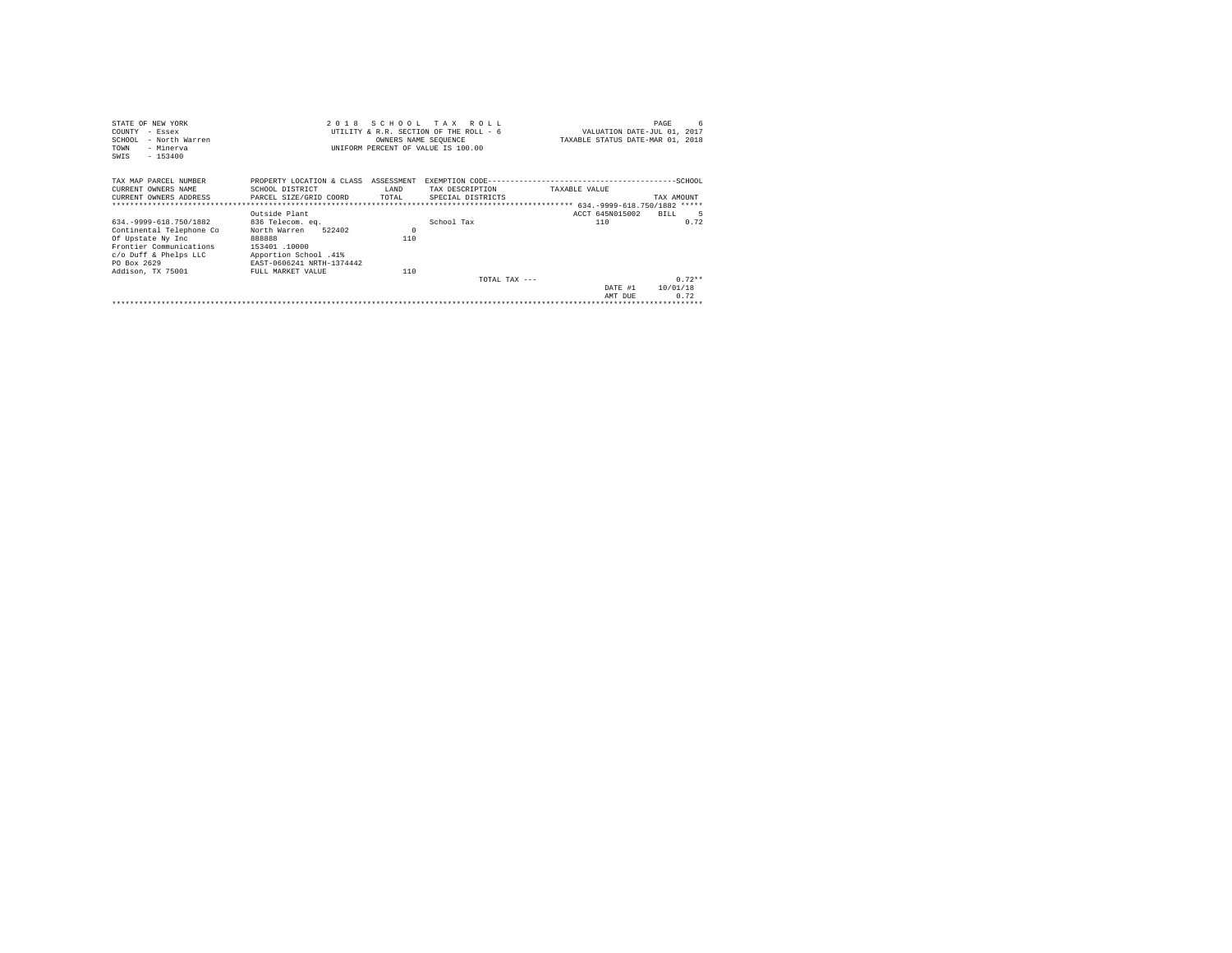| STATE OF NEW YORK                                     |                           |            | 2018 SCHOOL TAX ROLL                   |                                  | 6<br>PAGE                   |
|-------------------------------------------------------|---------------------------|------------|----------------------------------------|----------------------------------|-----------------------------|
| COUNTY<br>$-$ Essex                                   |                           |            | UTILITY & R.R. SECTION OF THE ROLL - 6 |                                  | VALUATION DATE-JUL 01, 2017 |
| SCHOOL<br>- North Warren                              |                           |            | OWNERS NAME SEQUENCE                   | TAXABLE STATUS DATE-MAR 01, 2018 |                             |
| - Minerva<br>TOWN                                     |                           |            | UNIFORM PERCENT OF VALUE IS 100.00     |                                  |                             |
| $-153400$<br>SWIS                                     |                           |            |                                        |                                  |                             |
|                                                       |                           |            |                                        |                                  |                             |
| TAX MAP PARCEL NUMBER                                 | PROPERTY LOCATION & CLASS | ASSESSMENT |                                        |                                  |                             |
| CURRENT OWNERS NAME                                   | SCHOOL DISTRICT           | LAND       | TAX DESCRIPTION                        | TAXABLE VALUE                    |                             |
| CURRENT OWNERS ADDRESS . PARCEL SIZE/GRID COORD TOTAL |                           |            | SPECIAL DISTRICTS                      |                                  | TAX AMOUNT                  |
|                                                       |                           |            |                                        |                                  |                             |
|                                                       | Outside Plant             |            |                                        | ACCT 645N015002                  | BILL.                       |
| 634. - 9999-618. 750/1882                             | 836 Telecom. ea.          |            | School Tax                             | 110                              | 0.72                        |
| Continental Telephone Co                              | 522402<br>North Warren    | $\Omega$   |                                        |                                  |                             |
| Of Upstate Ny Inc                                     | 888888                    | 110        |                                        |                                  |                             |
| Frontier Communications                               | 153401.10000              |            |                                        |                                  |                             |
| c/o Duff & Phelps LLC                                 | Apportion School .41%     |            |                                        |                                  |                             |
| PO Box 2629                                           | EAST-0606241 NRTH-1374442 |            |                                        |                                  |                             |
| Addison, TX 75001                                     | FULL MARKET VALUE         | 110        |                                        |                                  |                             |
|                                                       |                           |            | TOTAL TAX $---$                        |                                  | $0.72**$                    |
|                                                       |                           |            |                                        | DATE #1                          | 10/01/18                    |
|                                                       |                           |            |                                        | AMT DUE                          | 0.72                        |
|                                                       |                           |            |                                        |                                  |                             |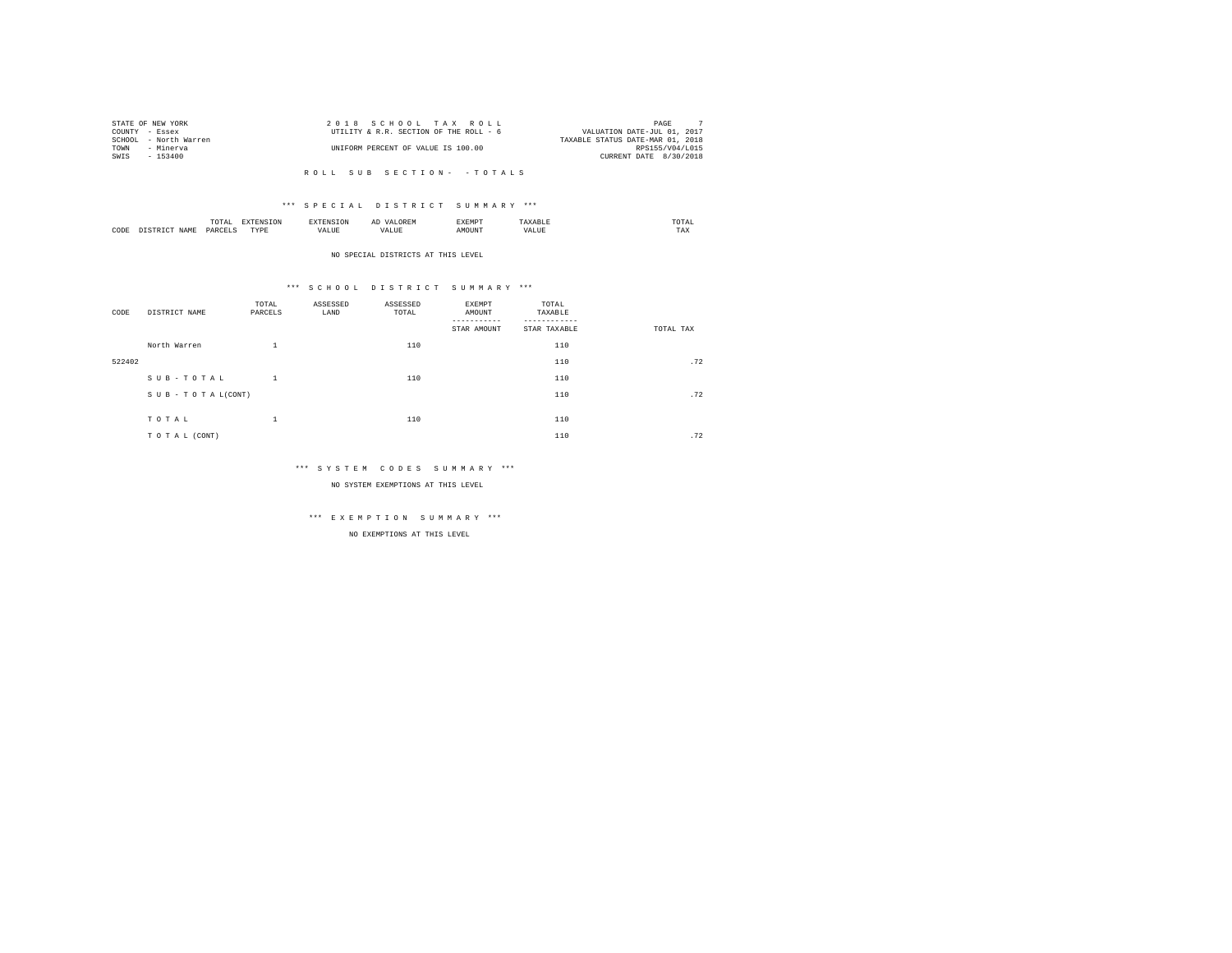|      | STATE OF NEW YORK     | 2018 SCHOOL TAX ROLL                   | PAGE                             |  |
|------|-----------------------|----------------------------------------|----------------------------------|--|
|      | COUNTY - Essex        | UTILITY & R.R. SECTION OF THE ROLL - 6 | VALUATION DATE-JUL 01, 2017      |  |
|      | SCHOOL - North Warren |                                        | TAXABLE STATUS DATE-MAR 01, 2018 |  |
| TOWN | - Minerva             | UNIFORM PERCENT OF VALUE IS 100.00     | RPS155/V04/L015                  |  |
| SWIS | - 153400              |                                        | CURRENT DATE 8/30/2018           |  |
|      |                       |                                        |                                  |  |

R O L L S U B S E C T I O N - - T O T A L S

## \*\*\* S P E C I A L D I S T R I C T S U M M A R Y \*\*\*

|      | moms<br>.<br>the contract of the contract of the contract of | the contract of the contract of the contract of the contract of the contract of | and the contract of the contract of the contract of the contract of the contract of the contract of the contract of the contract of the contract of the contract of the contract of the contract of the contract of the contra | --------<br>----- | , , , ,<br>the contract of the contract of the contract of |
|------|--------------------------------------------------------------|---------------------------------------------------------------------------------|--------------------------------------------------------------------------------------------------------------------------------------------------------------------------------------------------------------------------------|-------------------|------------------------------------------------------------|
| CODE | PAR                                                          | TVD <sub>k</sub><br>.                                                           |                                                                                                                                                                                                                                |                   | $- - -$<br>مصا                                             |

#### NO SPECIAL DISTRICTS AT THIS LEVEL

## \*\*\* S C H O O L D I S T R I C T S U M M A R Y \*\*\*

| CODE   | DISTRICT NAME   | TOTAL<br>PARCELS   | ASSESSED<br>LAND | ASSESSED<br>TOTAL | EXEMPT<br>AMOUNT<br>STAR AMOUNT | TOTAL<br>TAXABLE<br>--------<br>STAR TAXABLE | TOTAL TAX |
|--------|-----------------|--------------------|------------------|-------------------|---------------------------------|----------------------------------------------|-----------|
|        | North Warren    | ÷.                 |                  | 110               |                                 | 110                                          |           |
| 522402 |                 |                    |                  |                   |                                 | 110                                          | .72       |
|        | SUB-TOTAL       | $\mathbf{1}$       |                  | 110               |                                 | 110                                          |           |
|        | SUB-TOTAL(CONT) |                    |                  |                   |                                 | 110                                          | .72       |
|        | TOTAL           | $\mathbf{a}$<br>÷. |                  | 110               |                                 | 110                                          |           |
|        | TO TAL (CONT)   |                    |                  |                   |                                 | 110                                          | .72       |

## \*\*\* S Y S T E M C O D E S S U M M A R Y \*\*\*

NO SYSTEM EXEMPTIONS AT THIS LEVEL

# \*\*\* E X E M P T I O N S U M M A R Y \*\*\*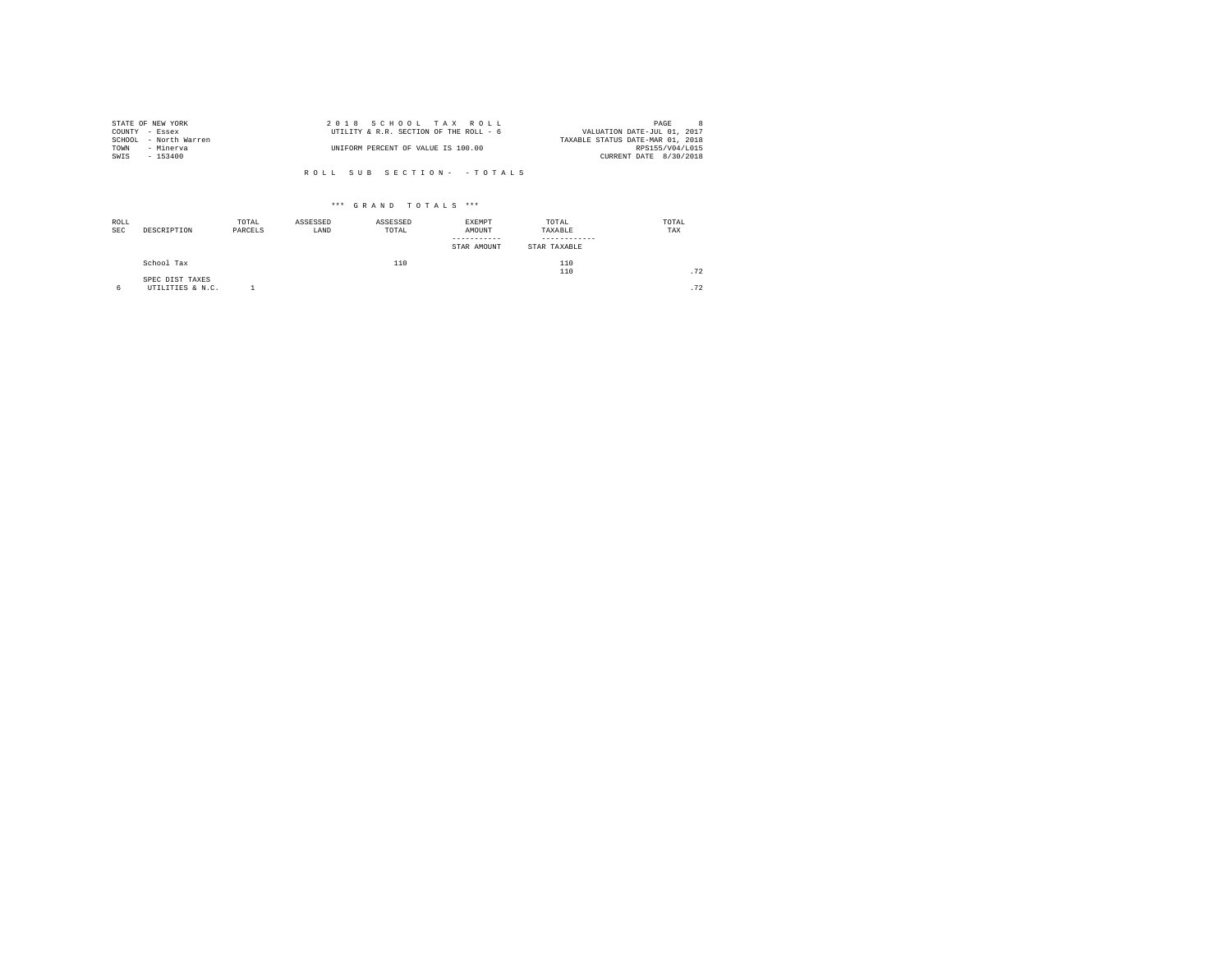|                | STATE OF NEW YORK     | 2018 SCHOOL TAX ROLL                   | PAGE                             |  |
|----------------|-----------------------|----------------------------------------|----------------------------------|--|
| COUNTY - Essex |                       | UTILITY & R.R. SECTION OF THE ROLL - 6 | VALUATION DATE-JUL 01, 2017      |  |
|                | SCHOOL - North Warren |                                        | TAXABLE STATUS DATE-MAR 01, 2018 |  |
| TOWN           | - Minerva             | UNIFORM PERCENT OF VALUE IS 100.00     | RPS155/V04/L015                  |  |
| SWIS           | $-153400$             |                                        | CURRENT DATE 8/30/2018           |  |
|                |                       |                                        |                                  |  |

R O L L S U B S E C T I O N - - T O T A L S

| ROLL<br><b>SEC</b> | DESCRIPTION                         | TOTAL<br>PARCELS | ASSESSED<br>LAND | ASSESSED<br>TOTAL | EXEMPT<br>AMOUNT<br>--------<br>STAR AMOUNT | TOTAL<br>TAXABLE<br>STAR TAXABLE | TOTAL<br>TAX |
|--------------------|-------------------------------------|------------------|------------------|-------------------|---------------------------------------------|----------------------------------|--------------|
|                    | School Tax                          |                  |                  | 110               |                                             | 110<br>110                       | .72          |
| 6                  | SPEC DIST TAXES<br>UTILITIES & N.C. |                  |                  |                   |                                             |                                  | .72          |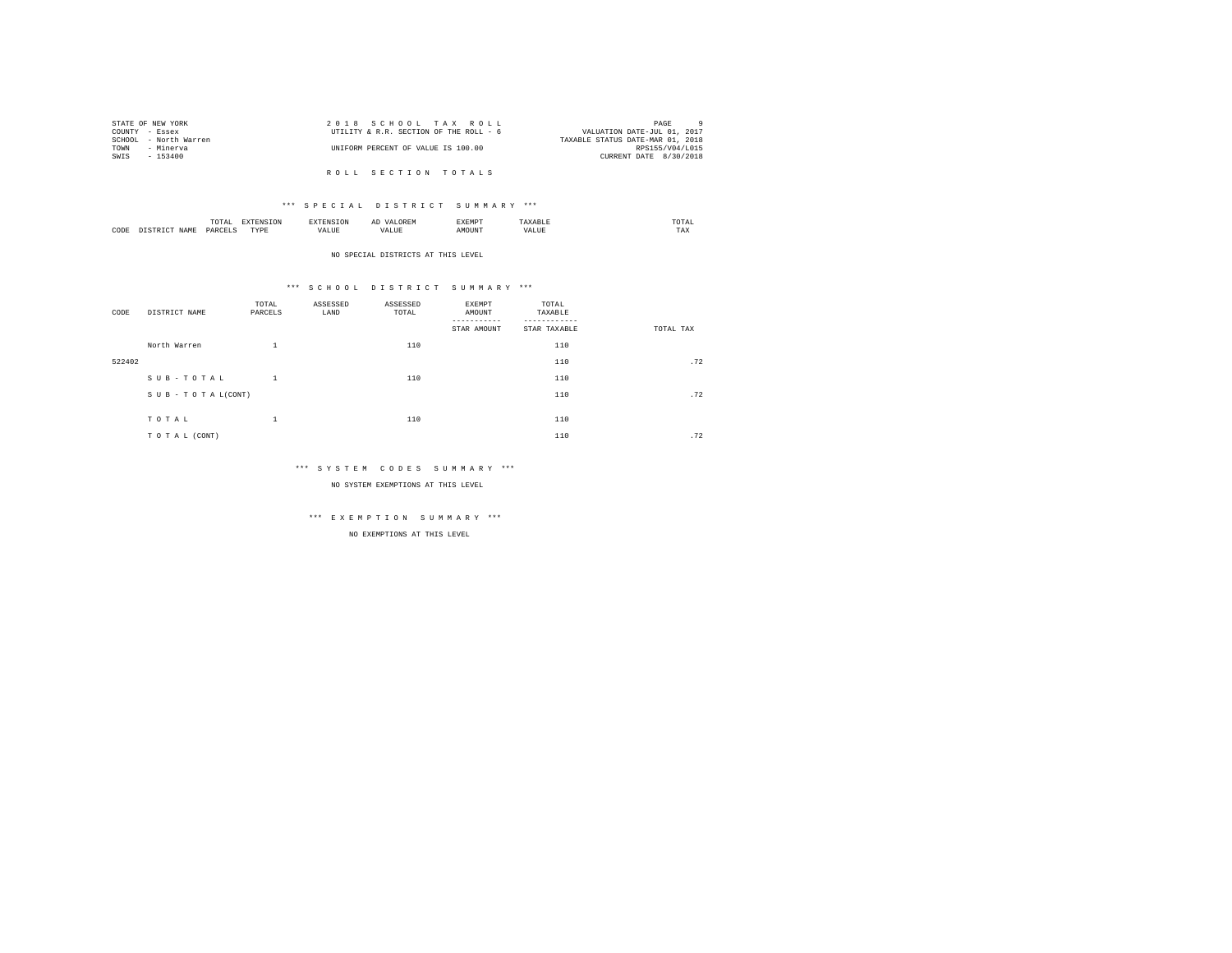|                | STATE OF NEW YORK     | 2018 SCHOOL TAX ROLL                   | $\alpha$<br>PAGE                 |
|----------------|-----------------------|----------------------------------------|----------------------------------|
| COUNTY - Essex |                       | UTILITY & R.R. SECTION OF THE ROLL - 6 | VALUATION DATE-JUL 01, 2017      |
|                | SCHOOL - North Warren |                                        | TAXABLE STATUS DATE-MAR 01, 2018 |
| TOWN           | - Minerva             | UNIFORM PERCENT OF VALUE IS 100.00     | RPS155/V04/L015                  |
| SWIS           | $-153400$             |                                        | CURRENT DATE 8/30/2018           |
|                |                       |                                        |                                  |
|                |                       | ROLL SECTION TOTALS                    |                                  |

|      |     |                   | ∼ |  | the contract of the contract of the contract of |
|------|-----|-------------------|---|--|-------------------------------------------------|
| CODE | YAN | <b>TVD's</b><br>. |   |  | $- - -$<br>مصا                                  |

#### NO SPECIAL DISTRICTS AT THIS LEVEL

## \*\*\* S C H O O L D I S T R I C T S U M M A R Y \*\*\*

| CODE   | DISTRICT NAME   | TOTAL<br>PARCELS | ASSESSED<br>LAND | ASSESSED<br>TOTAL | EXEMPT<br>AMOUNT<br>STAR AMOUNT | TOTAL<br>TAXABLE<br>STAR TAXABLE | TOTAL TAX |
|--------|-----------------|------------------|------------------|-------------------|---------------------------------|----------------------------------|-----------|
|        | North Warren    | $\mathbf{1}$     |                  | 110               |                                 | 110                              |           |
| 522402 |                 |                  |                  |                   |                                 | 110                              | .72       |
|        | SUB-TOTAL       | $\mathbf{1}$     |                  | 110               |                                 | 110                              |           |
|        | SUB-TOTAL(CONT) |                  |                  |                   |                                 | 110                              | .72       |
|        | TOTAL           | $\mathbf{1}$     |                  | 110               |                                 | 110                              |           |
|        | TO TAL (CONT)   |                  |                  |                   |                                 | 110                              | .72       |

## \*\*\* S Y S T E M C O D E S S U M M A R Y \*\*\*

NO SYSTEM EXEMPTIONS AT THIS LEVEL

# \*\*\* E X E M P T I O N S U M M A R Y \*\*\*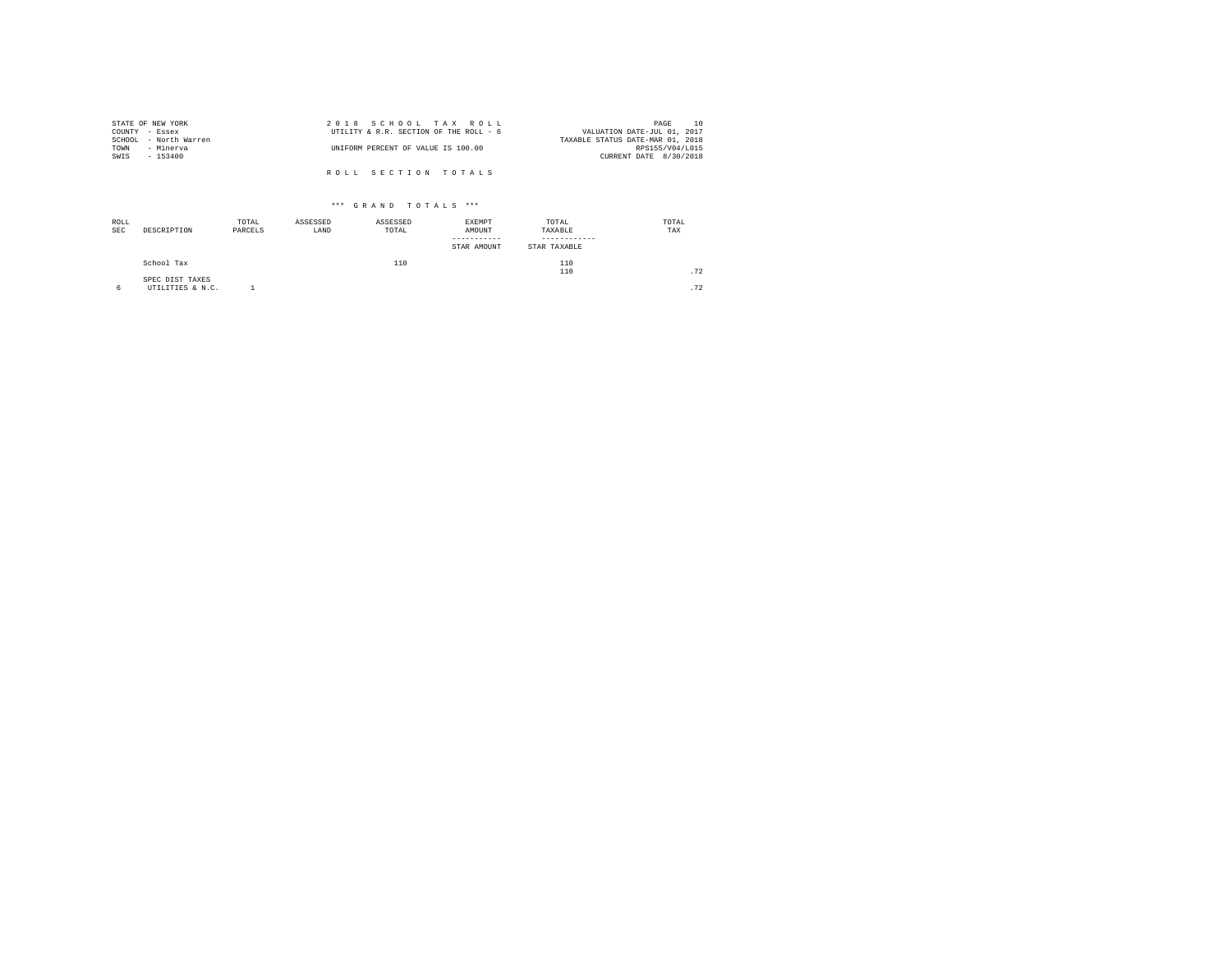| STATE OF NEW YORK     | 2018 SCHOOL TAX ROLL                   | 10<br>PAGE                       |
|-----------------------|----------------------------------------|----------------------------------|
| COUNTY - Essex        | UTILITY & R.R. SECTION OF THE ROLL - 6 | VALUATION DATE-JUL 01, 2017      |
| SCHOOL - North Warren |                                        | TAXABLE STATUS DATE-MAR 01, 2018 |
| TOWN<br>- Minerva     | UNIFORM PERCENT OF VALUE IS 100.00     | RPS155/V04/L015                  |
| SWIS<br>- 153400      |                                        | CURRENT DATE 8/30/2018           |
|                       |                                        |                                  |
|                       | ROLL SECTION TOTALS                    |                                  |

| ROLL<br><b>SEC</b> | DESCRIPTION                         | TOTAL<br>PARCELS | ASSESSED<br>LAND | ASSESSED<br>TOTAL | EXEMPT<br>AMOUNT<br>-----------<br>STAR AMOUNT | TOTAL<br>TAXABLE<br>STAR TAXABLE | TOTAL<br>TAX |
|--------------------|-------------------------------------|------------------|------------------|-------------------|------------------------------------------------|----------------------------------|--------------|
|                    | School Tax                          |                  |                  | 110               |                                                | 110<br>110                       | .72          |
|                    | SPEC DIST TAXES<br>UTILITIES & N.C. |                  |                  |                   |                                                |                                  | .72          |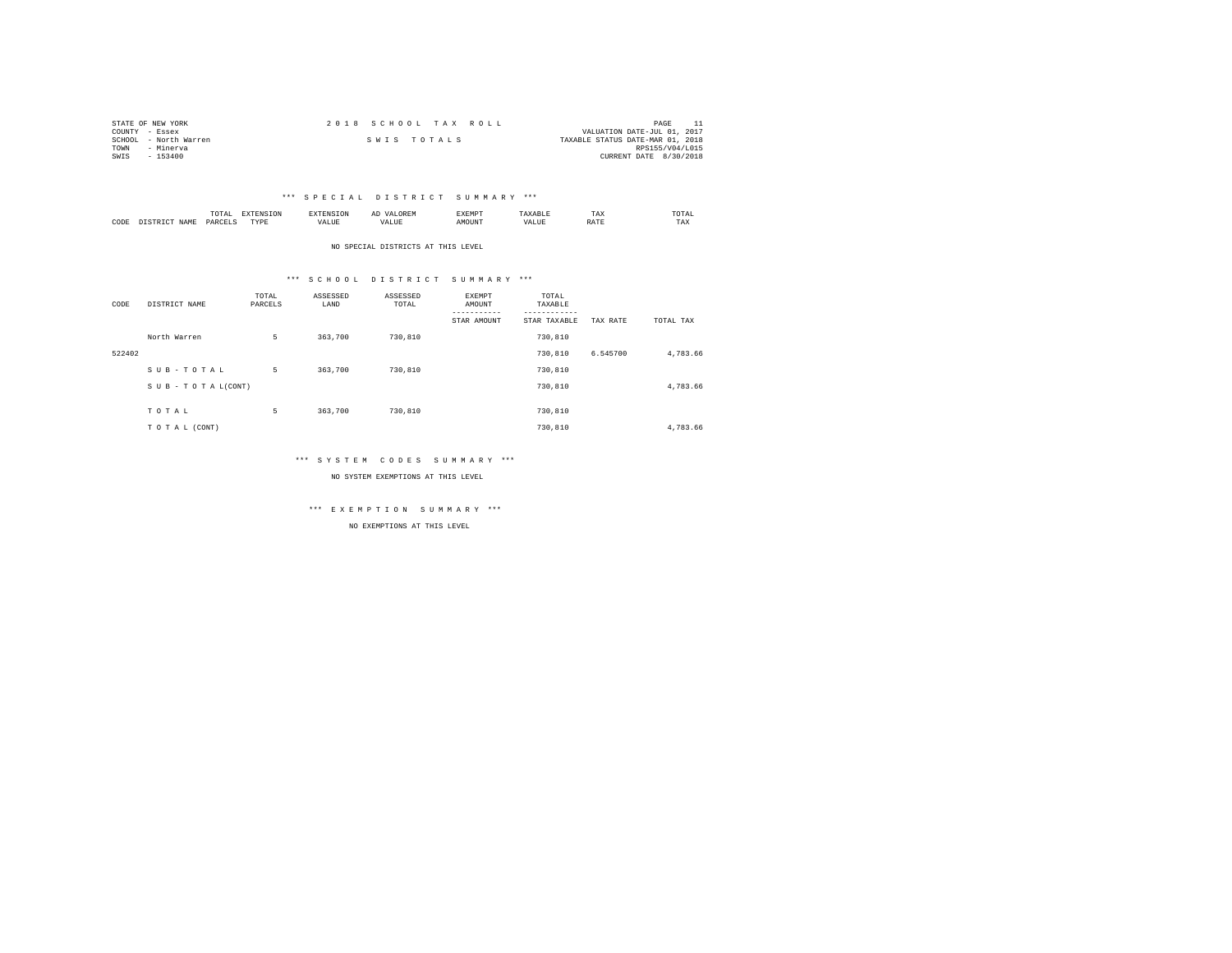| STATE OF NEW YORK     | 2018 SCHOOL TAX ROLL | PAGE                             |
|-----------------------|----------------------|----------------------------------|
| COUNTY - Essex        |                      | VALUATION DATE-JUL 01, 2017      |
| SCHOOL - North Warren | SWIS TOTALS          | TAXABLE STATUS DATE-MAR 01, 2018 |
| TOWN<br>- Minerva     |                      | RPS155/V04/L015                  |
| $-153400$<br>SWIS     |                      | CURRENT DATE 8/30/2018           |

|           |                      | 1 U 1 M 1<br>the contract of the contract of the contract of | ---------------  |      | $\sim$<br>. |   | 1 A.A        | 'UIA.<br>the contract of the contract of the contract of |
|-----------|----------------------|--------------------------------------------------------------|------------------|------|-------------|---|--------------|----------------------------------------------------------|
| CODE<br>. | <b>NAME</b><br>11.12 | レムト                                                          | <b>TIDE</b><br>. | ALUE |             | n | <b>Shown</b> | TAX                                                      |

NO SPECIAL DISTRICTS AT THIS LEVEL

## \*\*\* S C H O O L D I S T R I C T S U M M A R Y \*\*\*

| CODE   | DISTRICT NAME   | TOTAL<br>PARCELS | ASSESSED<br>LAND | ASSESSED<br>TOTAL | <b>EXEMPT</b><br>AMOUNT<br>STAR AMOUNT | TOTAL<br>TAXABLE<br>---------<br>STAR TAXABLE | TAX RATE | TOTAL TAX |
|--------|-----------------|------------------|------------------|-------------------|----------------------------------------|-----------------------------------------------|----------|-----------|
|        | North Warren    | 5                | 363,700          | 730,810           |                                        | 730,810                                       |          |           |
| 522402 |                 |                  |                  |                   |                                        | 730,810                                       | 6.545700 | 4,783.66  |
|        | SUB-TOTAL       | 5                | 363,700          | 730,810           |                                        | 730,810                                       |          |           |
|        | SUB-TOTAL(CONT) |                  |                  |                   |                                        | 730,810                                       |          | 4,783.66  |
|        | TOTAL           | 5                | 363,700          | 730,810           |                                        | 730,810                                       |          |           |
|        | TO TAL (CONT)   |                  |                  |                   |                                        | 730,810                                       |          | 4.783.66  |

## \*\*\* S Y S T E M C O D E S S U M M A R Y \*\*\*

NO SYSTEM EXEMPTIONS AT THIS LEVEL

\*\*\* E X E M P T I O N S U M M A R Y \*\*\*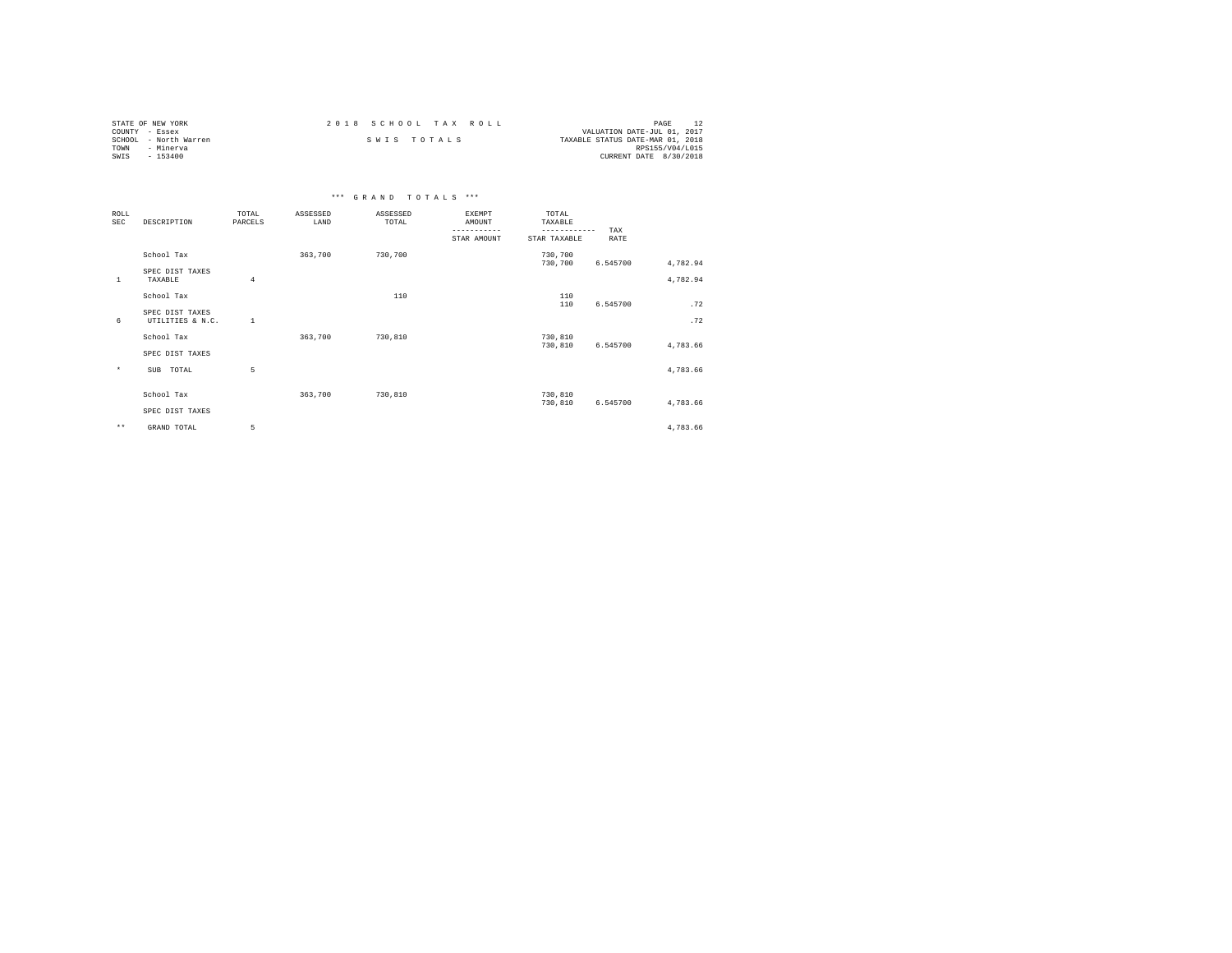| STATE OF NEW YORK     | 2018 SCHOOL TAX ROLL | PAGE                             |
|-----------------------|----------------------|----------------------------------|
| COUNTY - Essex        |                      | VALUATION DATE-JUL 01, 2017      |
| SCHOOL - North Warren | SWIS TOTALS          | TAXABLE STATUS DATE-MAR 01, 2018 |
| TOWN<br>- Minerva     |                      | RPS155/V04/L015                  |
| SWIS<br>- 153400      |                      | CURRENT DATE 8/30/2018           |

|                           |                                     |                  |                  | *** GRAND TOTALS *** |                                                |                                                  |             |          |
|---------------------------|-------------------------------------|------------------|------------------|----------------------|------------------------------------------------|--------------------------------------------------|-------------|----------|
| <b>ROLL</b><br><b>SEC</b> | DESCRIPTION                         | TOTAL<br>PARCELS | ASSESSED<br>LAND | ASSESSED<br>TOTAL    | EXEMPT<br>AMOUNT<br>-----------<br>STAR AMOUNT | TOTAL<br>TAXABLE<br>------------<br>STAR TAXABLE | TAX<br>RATE |          |
|                           | School Tax                          |                  | 363,700          | 730,700              |                                                | 730,700<br>730,700                               | 6.545700    | 4,782.94 |
| 1                         | SPEC DIST TAXES<br>TAXABLE          | 4                |                  |                      |                                                |                                                  |             | 4,782.94 |
|                           | School Tax                          |                  |                  | 110                  |                                                | 110<br>110                                       | 6.545700    | .72      |
| 6                         | SPEC DIST TAXES<br>UTILITIES & N.C. | <sup>1</sup>     |                  |                      |                                                |                                                  |             | .72      |
|                           | School Tax<br>SPEC DIST TAXES       |                  | 363,700          | 730,810              |                                                | 730,810<br>730,810                               | 6.545700    | 4,783.66 |
| $\star$                   | TOTAL<br>SUB                        | 5                |                  |                      |                                                |                                                  |             | 4,783.66 |
|                           | School Tax<br>SPEC DIST TAXES       |                  | 363,700          | 730,810              |                                                | 730,810<br>730,810                               | 6.545700    | 4,783.66 |
| $\star\star$              | GRAND TOTAL                         | 5                |                  |                      |                                                |                                                  |             | 4,783.66 |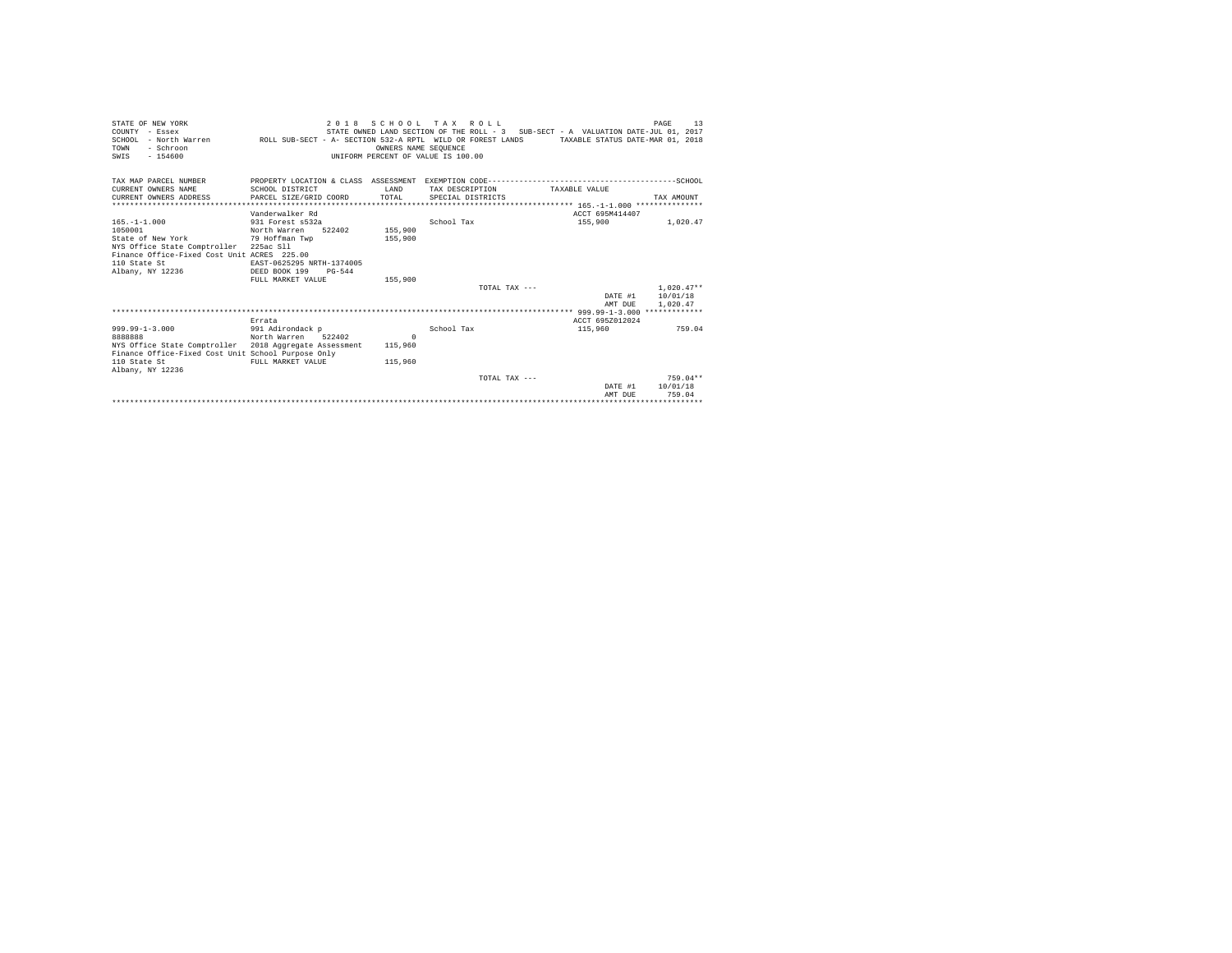| STATE OF NEW YORK<br>COUNTY - Essex<br>SCHOOL - North Warren ROLL SUB-SECT - A- SECTION 532-A RPTL WILD OR FOREST LANDS TAXABLE STATUS DATE-MAR 01, 2018<br>- Schroon<br>TOWN<br>$-154600$<br>SWIS |                                                    |                | OWNERS NAME SEOUENCE | 2018 SCHOOL TAX ROLL<br>UNIFORM PERCENT OF VALUE IS 100.00 |                 | STATE OWNED LAND SECTION OF THE ROLL - 3 SUB-SECT - A VALUATION DATE-JUL 01, 2017 | 13<br>PAGE         |
|----------------------------------------------------------------------------------------------------------------------------------------------------------------------------------------------------|----------------------------------------------------|----------------|----------------------|------------------------------------------------------------|-----------------|-----------------------------------------------------------------------------------|--------------------|
| TAX MAP PARCEL NUMBER<br>CURRENT OWNERS NAME<br>CURRENT OWNERS ADDRESS                                                                                                                             | SCHOOL DISTRICT<br>PARCEL SIZE/GRID COORD          |                | T.AND<br>TOTAL       | SPECIAL DISTRICTS                                          | TAX DESCRIPTION | TAXARLE VALUE                                                                     | TAX AMOUNT         |
|                                                                                                                                                                                                    |                                                    |                |                      |                                                            |                 |                                                                                   |                    |
|                                                                                                                                                                                                    | Vanderwalker Rd                                    |                |                      |                                                            |                 | ACCT 695M414407                                                                   |                    |
| $165. - 1 - 1.000$<br>1050001<br>State of New York                                                                                                                                                 | 931 Forest s532a<br>North Warren<br>79 Hoffman Twp | 522402 155,900 | 155,900              | School Tax                                                 |                 | 155,900                                                                           | 1,020.47           |
| NYS Office State Comptroller 225ac Sll<br>Finance Office-Fixed Cost Unit ACRES 225.00                                                                                                              |                                                    |                |                      |                                                            |                 |                                                                                   |                    |
| 110 State St                                                                                                                                                                                       | EAST-0625295 NRTH-1374005                          |                |                      |                                                            |                 |                                                                                   |                    |
| Albany, NY 12236                                                                                                                                                                                   | DEED BOOK 199<br>FULL MARKET VALUE                 | $PG - 544$     | 155,900              |                                                            |                 |                                                                                   |                    |
|                                                                                                                                                                                                    |                                                    |                |                      |                                                            | TOTAL TAX $---$ |                                                                                   | $1.020.47**$       |
|                                                                                                                                                                                                    |                                                    |                |                      |                                                            |                 |                                                                                   | DATE #1 10/01/18   |
|                                                                                                                                                                                                    |                                                    |                |                      |                                                            |                 | AMT DUE                                                                           | 1,020.47           |
|                                                                                                                                                                                                    |                                                    |                |                      |                                                            |                 |                                                                                   |                    |
|                                                                                                                                                                                                    | Errata                                             |                |                      |                                                            |                 | ACCT 695Z012024                                                                   |                    |
| $999.99 - 1 - 3.000$                                                                                                                                                                               | 991 Adirondack p                                   |                |                      | School Tax                                                 |                 | 115,960                                                                           | 759.04             |
| 8888888                                                                                                                                                                                            | North Warren 522402                                |                | $\Omega$             |                                                            |                 |                                                                                   |                    |
| NYS Office State Comptroller 2018 Aggregate Assessment<br>Finance Office-Fixed Cost Unit School Purpose Only                                                                                       |                                                    |                | 115,960              |                                                            |                 |                                                                                   |                    |
| 110 State St<br>Albany, NY 12236                                                                                                                                                                   | FULL MARKET VALUE                                  |                | 115,960              |                                                            |                 |                                                                                   |                    |
|                                                                                                                                                                                                    |                                                    |                |                      |                                                            | TOTAL TAX ---   |                                                                                   | $759.04**$         |
|                                                                                                                                                                                                    |                                                    |                |                      |                                                            |                 | DATE #1<br>AMT DUE                                                                | 10/01/18<br>759.04 |
|                                                                                                                                                                                                    |                                                    |                |                      |                                                            |                 |                                                                                   |                    |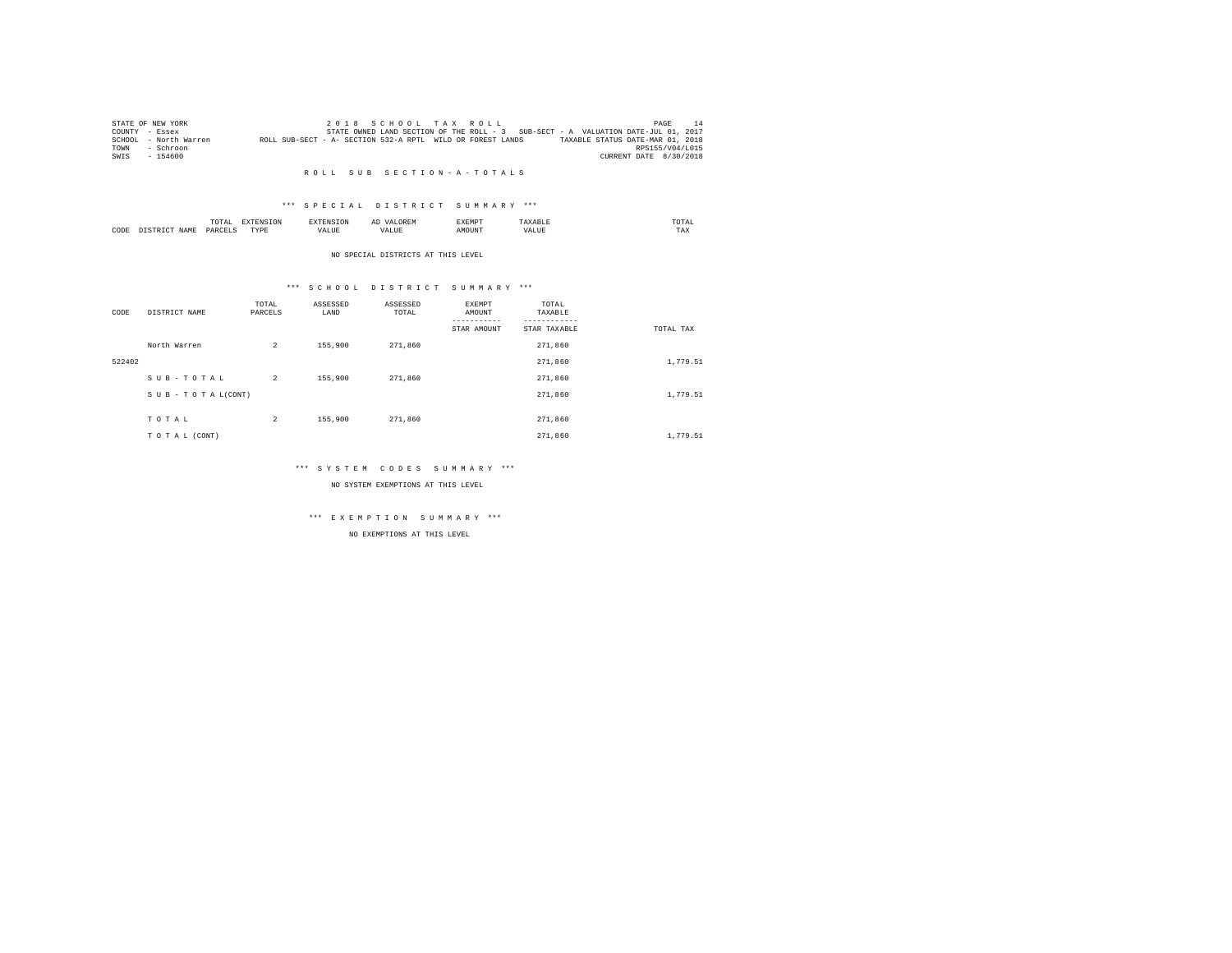|      | STATE OF NEW YORK     |                                                            |  |  | 2018 SCHOOL TAX ROLL |                                                                                   |                        | PAGE | 14 |
|------|-----------------------|------------------------------------------------------------|--|--|----------------------|-----------------------------------------------------------------------------------|------------------------|------|----|
|      | COUNTY - Essex        |                                                            |  |  |                      | STATE OWNED LAND SECTION OF THE ROLL - 3 SUB-SECT - A VALUATION DATE-JUL 01, 2017 |                        |      |    |
|      | SCHOOL - North Warren | ROLL SUB-SECT - A- SECTION 532-A RPTL WILD OR FOREST LANDS |  |  |                      | TAXABLE STATUS DATE-MAR 01, 2018                                                  |                        |      |    |
| TOWN | - Schroon             |                                                            |  |  |                      |                                                                                   | RPS155/V04/L015        |      |    |
| SWIS | $-154600$             |                                                            |  |  |                      |                                                                                   | CURRENT DATE 8/30/2018 |      |    |

#### R O L L S U B S E C T I O N - A - T O T A L S

## \*\*\* S P E C I A L D I S T R I C T S U M M A R Y \*\*\*

|      |            | ----<br>TOTAI |          | $\sim$<br>  | <b>YEMP</b> |      | TA.<br>the contract of the contract of the contract of |  |
|------|------------|---------------|----------|-------------|-------------|------|--------------------------------------------------------|--|
| CODE | <b>CAM</b> | DARCE"        | 'VD<br>. | $ -$<br>1 D | אנונ        | $ -$ | $- - -$<br>1 A.A                                       |  |

#### NO SPECIAL DISTRICTS AT THIS LEVEL

## \*\*\* S C H O O L D I S T R I C T S U M M A R Y \*\*\*

| CODE   | DISTRICT NAME      | TOTAL<br>PARCELS | ASSESSED<br>LAND | ASSESSED<br>TOTAL | EXEMPT<br>AMOUNT | TOTAL<br>TAXABLE |           |
|--------|--------------------|------------------|------------------|-------------------|------------------|------------------|-----------|
|        |                    |                  |                  |                   | STAR AMOUNT      | STAR TAXABLE     | TOTAL TAX |
|        | North Warren       | $\overline{a}$   | 155,900          | 271,860           |                  | 271,860          |           |
| 522402 |                    |                  |                  |                   |                  | 271,860          | 1,779.51  |
|        | SUB-TOTAL          | $\overline{2}$   | 155,900          | 271,860           |                  | 271,860          |           |
|        | SUB - TO TAL(CONT) |                  |                  |                   |                  | 271,860          | 1,779.51  |
|        |                    |                  |                  |                   |                  |                  |           |
|        | TOTAL              | $\overline{c}$   | 155,900          | 271,860           |                  | 271,860          |           |
|        | TO TAL (CONT)      |                  |                  |                   |                  | 271,860          | 1,779.51  |

## \*\*\* S Y S T E M C O D E S S U M M A R Y \*\*\*

NO SYSTEM EXEMPTIONS AT THIS LEVEL

# \*\*\* E X E M P T I O N S U M M A R Y \*\*\*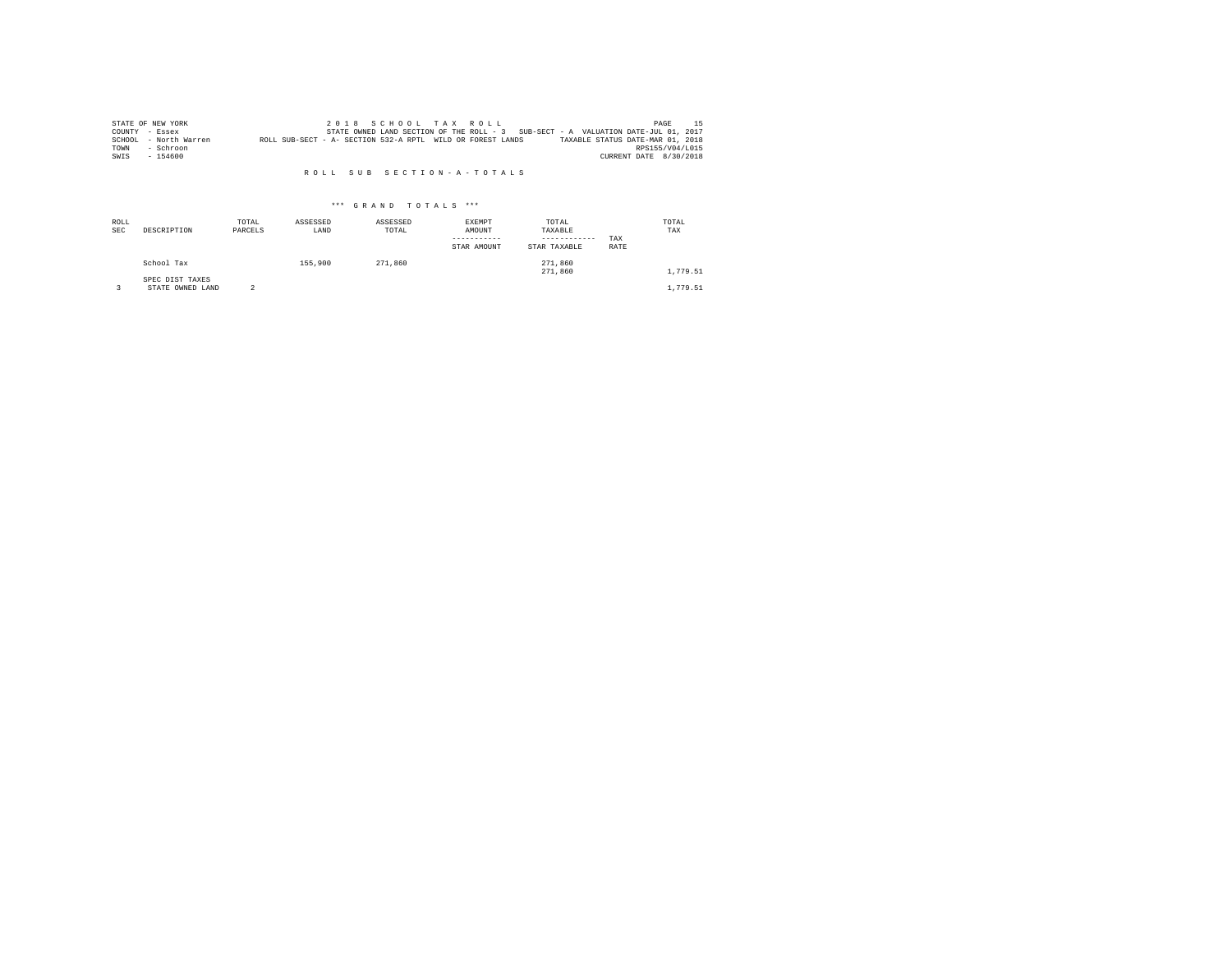|      | STATE OF NEW YORK     |                                                            |  |  | 2018 SCHOOL TAX ROLL |  |                                                                                   | PAGE                   | 15. |
|------|-----------------------|------------------------------------------------------------|--|--|----------------------|--|-----------------------------------------------------------------------------------|------------------------|-----|
|      | COUNTY - Essex        |                                                            |  |  |                      |  | STATE OWNED LAND SECTION OF THE ROLL - 3 SUB-SECT - A VALUATION DATE-JUL 01, 2017 |                        |     |
|      | SCHOOL - North Warren | ROLL SUB-SECT - A- SECTION 532-A RPTL WILD OR FOREST LANDS |  |  |                      |  | TAXABLE STATUS DATE-MAR 01, 2018                                                  |                        |     |
| TOWN | - Schroon             |                                                            |  |  |                      |  |                                                                                   | RPS155/V04/L015        |     |
| SWIS | $-154600$             |                                                            |  |  |                      |  |                                                                                   | CURRENT DATE 8/30/2018 |     |

## R O L L S U B S E C T I O N - A - T O T A L S

| ROLL<br><b>SEC</b> | DESCRIPTION                         | TOTAL<br>PARCELS | ASSESSED<br>LAND | ASSESSED<br>TOTAL | <b>EXEMPT</b><br>AMOUNT<br>STAR AMOUNT | TOTAL<br>TAXABLE<br>------------<br>STAR TAXABLE | TAX<br>RATE | TOTAL<br>TAX |
|--------------------|-------------------------------------|------------------|------------------|-------------------|----------------------------------------|--------------------------------------------------|-------------|--------------|
|                    | School Tax                          |                  | 155,900          | 271,860           |                                        | 271,860<br>271,860                               |             | 1,779.51     |
|                    | SPEC DIST TAXES<br>STATE OWNED LAND |                  |                  |                   |                                        |                                                  |             | 1,779.51     |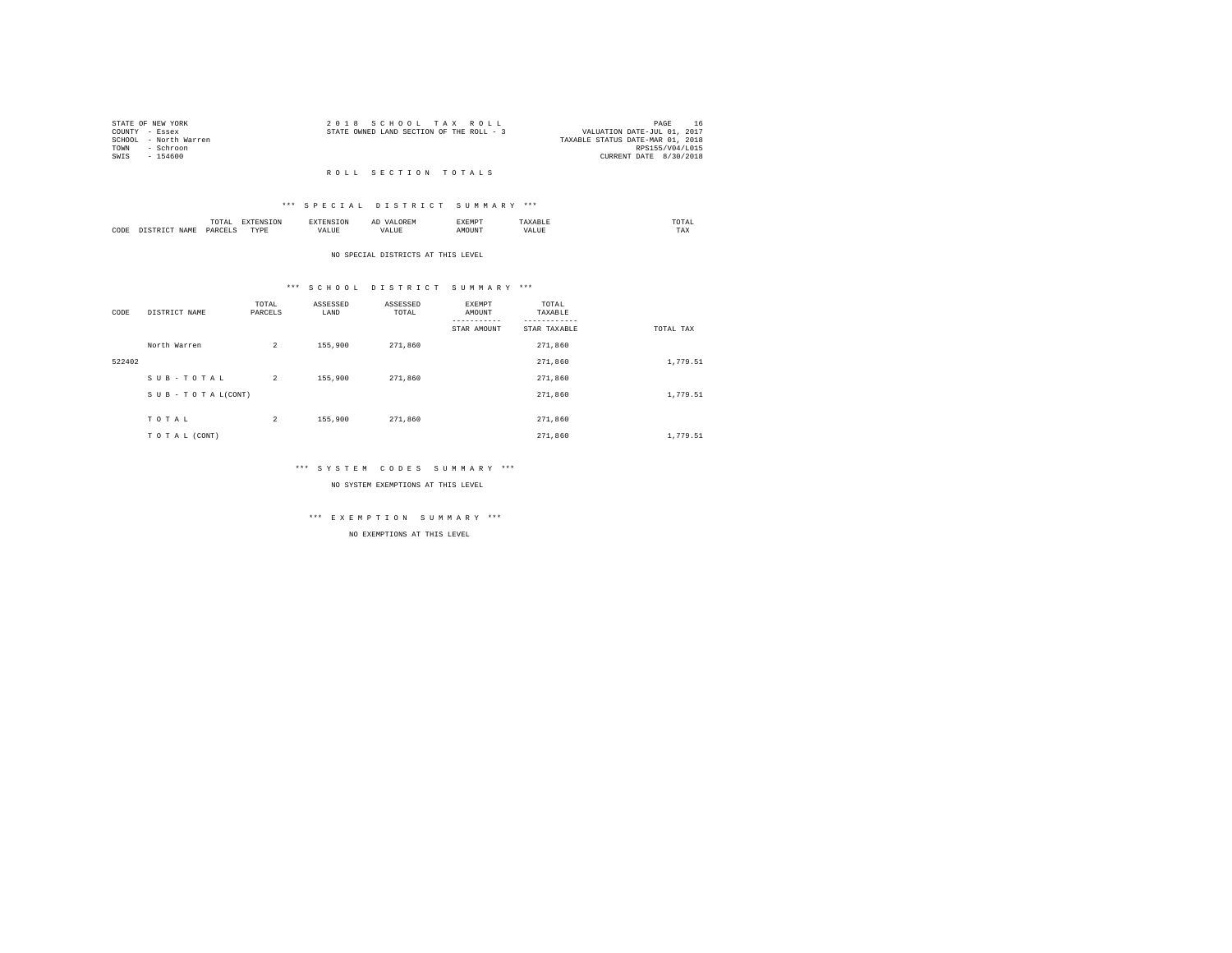| STATE OF NEW YORK |                       | 2018 SCHOOL TAX ROLL                     |  |  |  |                                  | PAGE            |  |
|-------------------|-----------------------|------------------------------------------|--|--|--|----------------------------------|-----------------|--|
| COUNTY - Essex    |                       | STATE OWNED LAND SECTION OF THE ROLL - 3 |  |  |  | VALUATION DATE-JUL 01, 2017      |                 |  |
|                   | SCHOOL - North Warren |                                          |  |  |  | TAXABLE STATUS DATE-MAR 01, 2018 |                 |  |
| TOWN              | - Schroon             |                                          |  |  |  |                                  | RPS155/V04/L015 |  |
| SWTS              | - 154600              |                                          |  |  |  | CURRENT DATE 8/30/2018           |                 |  |
|                   |                       |                                          |  |  |  |                                  |                 |  |

#### R O L L S E C T I O N T O T A L S

## \*\*\* S P E C I A L D I S T R I C T S U M M A R Y \*\*\*

|      | .              | the contract of the contract of the contract of the contract of the contract of the contract of the contract of | ≖  | .    | the contract of the contract of the contract of |
|------|----------------|-----------------------------------------------------------------------------------------------------------------|----|------|-------------------------------------------------|
| CODE | ODP'<br>$\sim$ | .<br>.                                                                                                          | -- | ראטי | $1 - \Delta$                                    |

#### NO SPECIAL DISTRICTS AT THIS LEVEL

## \*\*\* S C H O O L D I S T R I C T S U M M A R Y \*\*\*

| CODE   | DISTRICT NAME      | TOTAL<br>PARCELS | ASSESSED<br>LAND | ASSESSED<br>TOTAL | <b>EXEMPT</b><br>AMOUNT<br>STAR AMOUNT | TOTAL<br>TAXABLE<br>STAR TAXABLE | TOTAL TAX |
|--------|--------------------|------------------|------------------|-------------------|----------------------------------------|----------------------------------|-----------|
|        | North Warren       | $\overline{a}$   | 155,900          | 271,860           |                                        | 271,860                          |           |
| 522402 |                    |                  |                  |                   |                                        | 271,860                          | 1,779.51  |
|        | SUB-TOTAL          | $\overline{a}$   | 155,900          | 271,860           |                                        | 271,860                          |           |
|        | SUB - TO TAL(CONT) |                  |                  |                   |                                        | 271,860                          | 1,779.51  |
|        | TOTAL              | 2                | 155,900          | 271,860           |                                        | 271,860                          |           |
|        |                    |                  |                  |                   |                                        |                                  |           |
|        | TO TAL (CONT)      |                  |                  |                   |                                        | 271,860                          | 1,779.51  |

## \*\*\* S Y S T E M C O D E S S U M M A R Y \*\*\*

NO SYSTEM EXEMPTIONS AT THIS LEVEL

# \*\*\* E X E M P T I O N S U M M A R Y \*\*\*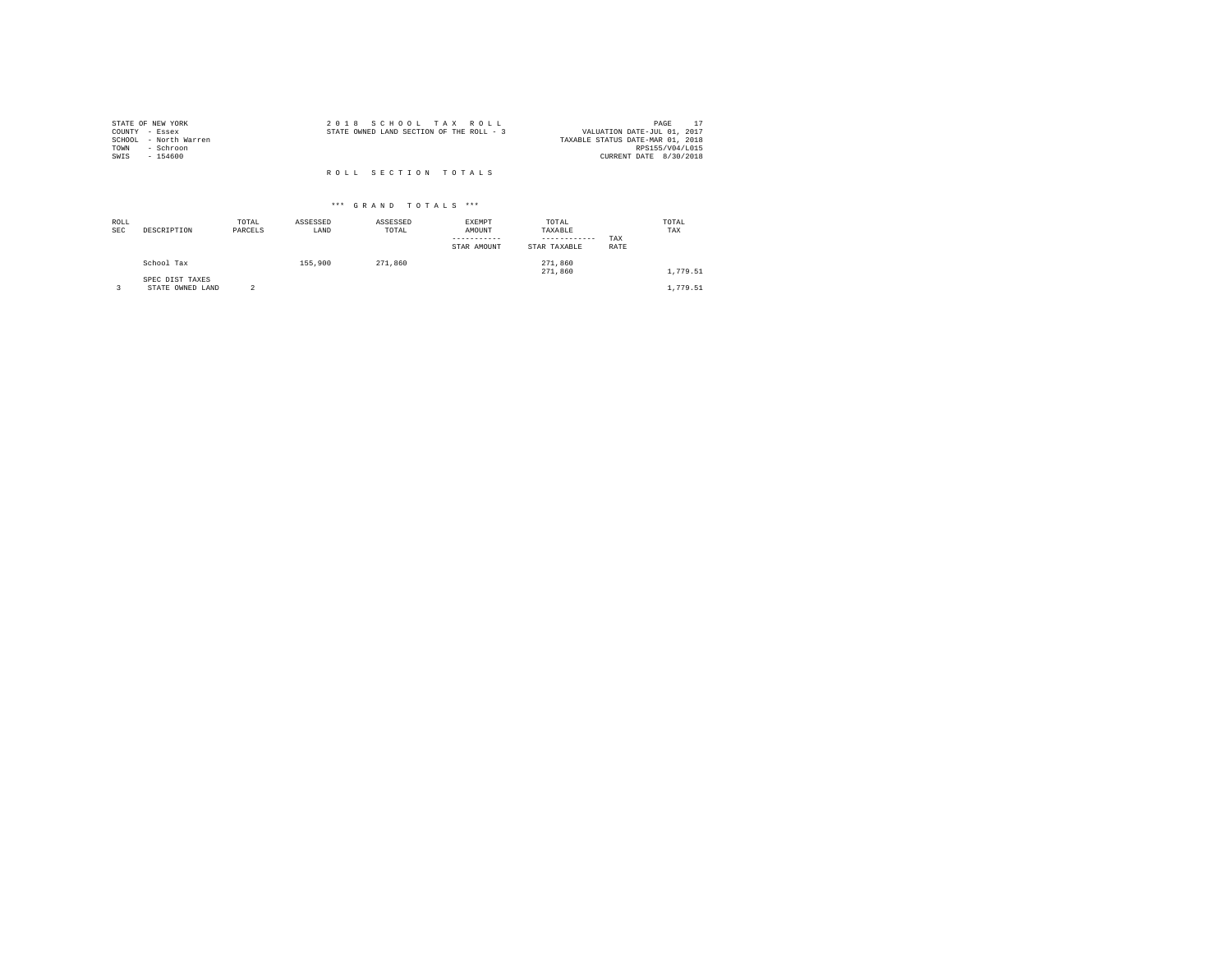| STATE OF NEW YORK<br>COUNTY - Essex        | 2018 SCHOOL TAX ROLL<br>STATE OWNED LAND SECTION OF THE ROLL - 3 | PAGE<br>VALUATION DATE-JUL 01, 2017                 |
|--------------------------------------------|------------------------------------------------------------------|-----------------------------------------------------|
| SCHOOL - North Warren<br>- Schroon<br>TOWN |                                                                  | TAXABLE STATUS DATE-MAR 01, 2018<br>RPS155/V04/L015 |
| SWIS<br>$-154600$                          |                                                                  | CURRENT DATE 8/30/2018                              |
|                                            | ROLL SECTION TOTALS                                              |                                                     |

| ROLL<br><b>SEC</b> | DESCRIPTION                   | TOTAL<br>PARCELS | ASSESSED<br>LAND | ASSESSED<br>TOTAL | EXEMPT<br>AMOUNT<br>-----------<br>STAR AMOUNT | TOTAL<br>TAXABLE<br>------------<br>STAR TAXABLE | TAX<br>RATE | TOTAL<br>TAX |  |
|--------------------|-------------------------------|------------------|------------------|-------------------|------------------------------------------------|--------------------------------------------------|-------------|--------------|--|
|                    | School Tax<br>SPEC DIST TAXES |                  | 155,900          | 271,860           |                                                | 271,860<br>271,860                               |             | 1.779.51     |  |
|                    | STATE OWNED LAND              | 2                |                  |                   |                                                |                                                  |             | 1,779.51     |  |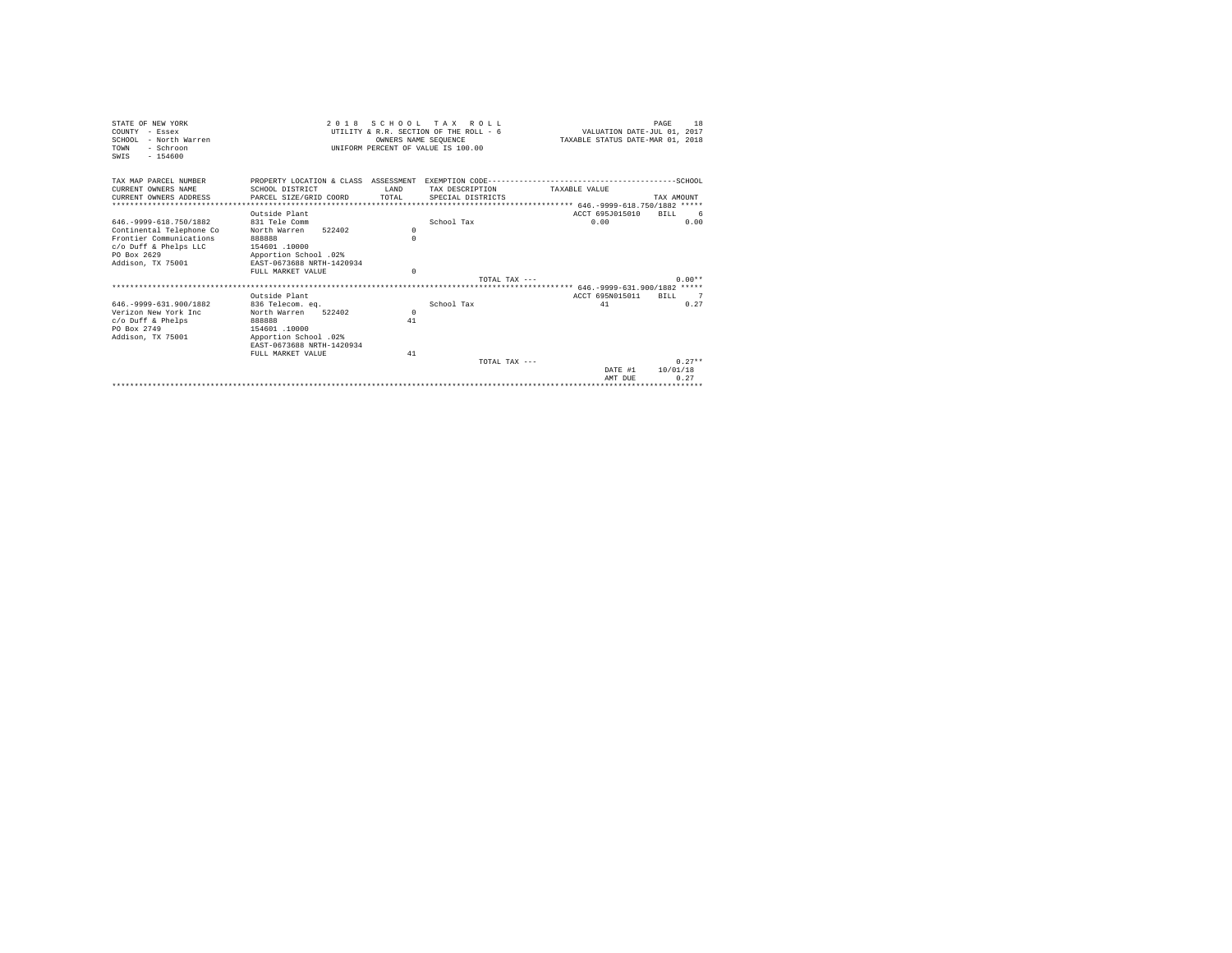| STATE OF NEW YORK<br>COUNTY - Essex<br>SCHOOL - North Warren<br>TOWN<br>- Schroon<br>$-154600$<br>SWTS | 2 0 1 8                                            | SCHOOL TAX<br>OWNERS NAME SEOUENCE | ROLL.<br>UTILITY & R.R. SECTION OF THE ROLL - 6<br>UNIFORM PERCENT OF VALUE IS 100.00 | VALUATION DATE-JUL 01, 2017<br>TAXABLE STATUS DATE-MAR 01, 2018 | 18<br>PAGE  |
|--------------------------------------------------------------------------------------------------------|----------------------------------------------------|------------------------------------|---------------------------------------------------------------------------------------|-----------------------------------------------------------------|-------------|
| TAX MAP PARCEL NUMBER                                                                                  |                                                    |                                    |                                                                                       |                                                                 |             |
| CURRENT OWNERS NAME                                                                                    | SCHOOL DISTRICT                                    | <b>T.AND</b>                       | TAX DESCRIPTION                                                                       | TAXARLE VALUE                                                   |             |
| CURRENT OWNERS ADDRESS                                                                                 | PARCEL SIZE/GRID COORD                             | TOTAL                              | SPECIAL DISTRICTS                                                                     |                                                                 | TAX AMOUNT  |
|                                                                                                        |                                                    |                                    |                                                                                       |                                                                 |             |
|                                                                                                        | Outside Plant                                      |                                    |                                                                                       | ACCT 695J015010                                                 | BTLL<br>- 6 |
| 646. - 9999 - 618. 750/1882                                                                            | 831 Tele Comm                                      |                                    | School Tax                                                                            | 0.00                                                            | 0.00        |
| Continental Telephone Co                                                                               | 522402<br>North Warren                             | $\Omega$                           |                                                                                       |                                                                 |             |
| Frontier Communications                                                                                | 888888                                             | $\Omega$                           |                                                                                       |                                                                 |             |
| c/o Duff & Phelps LLC                                                                                  | 154601.10000                                       |                                    |                                                                                       |                                                                 |             |
| PO Box 2629<br>Addison, TX 75001                                                                       | Apportion School .02%<br>EAST-0673688 NRTH-1420934 |                                    |                                                                                       |                                                                 |             |
|                                                                                                        | FULL MARKET VALUE                                  | $\Omega$                           |                                                                                       |                                                                 |             |
|                                                                                                        |                                                    |                                    | TOTAL TAX ---                                                                         |                                                                 | $0.00**$    |
|                                                                                                        |                                                    |                                    |                                                                                       |                                                                 |             |
|                                                                                                        | Outside Plant                                      |                                    |                                                                                       | ACCT 695N015011                                                 | RTLL 7      |
| 646. - 9999 - 631. 900/1882                                                                            | 836 Telecom. eq.                                   |                                    | School Tax                                                                            | 41                                                              | 0.27        |
| Verizon New York Inc.                                                                                  | North Warren<br>522402                             | $\mathbf{r}$                       |                                                                                       |                                                                 |             |
| $c$ /o Duff & Phelps                                                                                   | 888888                                             | 41                                 |                                                                                       |                                                                 |             |
| PO Box 2749                                                                                            | 154601 .10000                                      |                                    |                                                                                       |                                                                 |             |
| Addison, TX 75001                                                                                      | Apportion School .02%                              |                                    |                                                                                       |                                                                 |             |
|                                                                                                        | EAST-0673688 NRTH-1420934                          |                                    |                                                                                       |                                                                 |             |
|                                                                                                        | FULL MARKET VALUE                                  | 41                                 |                                                                                       |                                                                 |             |
|                                                                                                        |                                                    |                                    | TOTAL TAX $---$                                                                       |                                                                 | $0.27**$    |
|                                                                                                        |                                                    |                                    |                                                                                       | DATE #1                                                         | 10/01/18    |
|                                                                                                        |                                                    |                                    |                                                                                       | AMT DUE                                                         | 0.27        |
|                                                                                                        |                                                    |                                    |                                                                                       |                                                                 |             |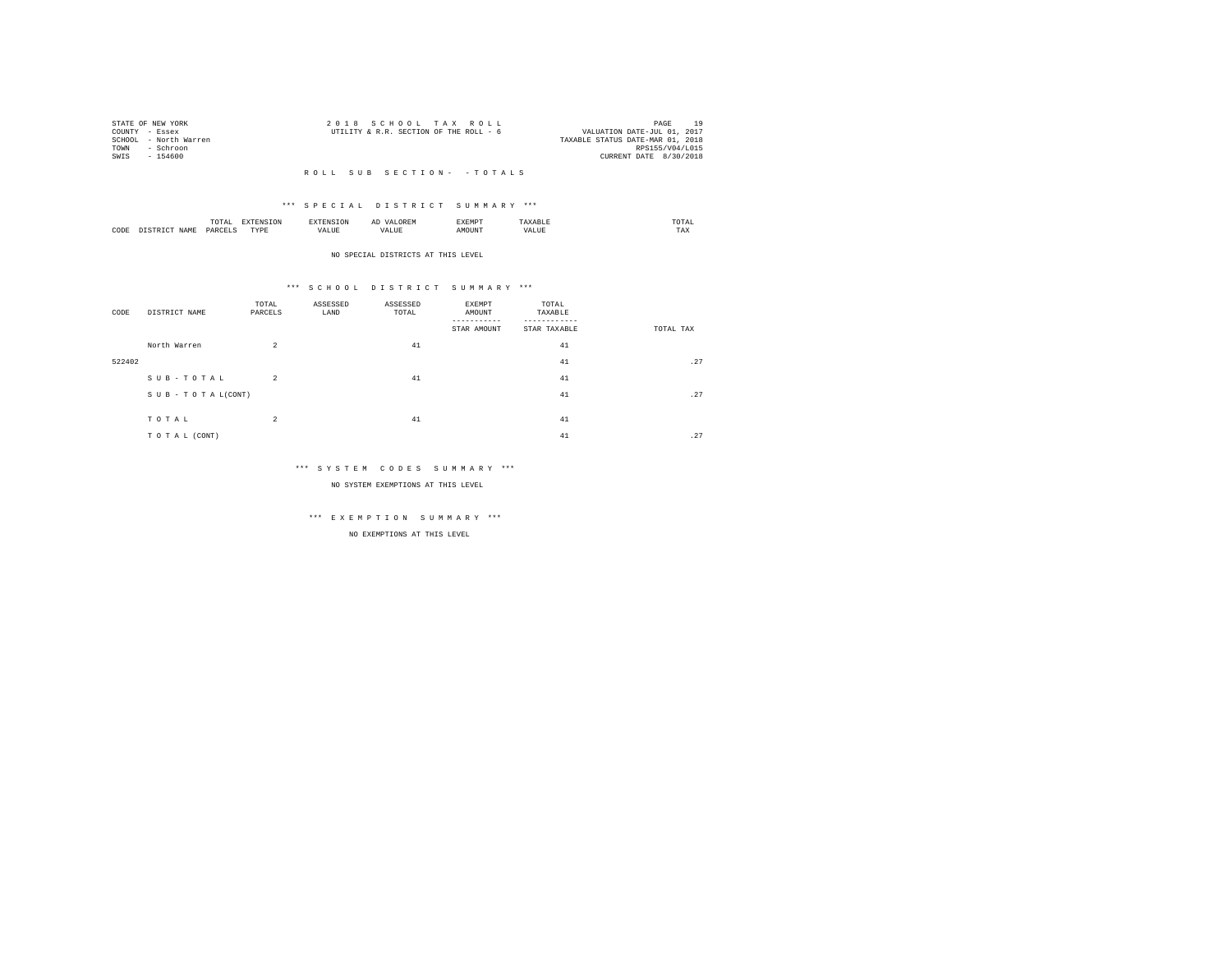| STATE OF NEW YORK |                       | 2018 SCHOOL TAX ROLL                   |  |                                  | PAGE            |  |
|-------------------|-----------------------|----------------------------------------|--|----------------------------------|-----------------|--|
| COUNTY - Essex    |                       | UTILITY & R.R. SECTION OF THE ROLL - 6 |  | VALUATION DATE-JUL 01, 2017      |                 |  |
|                   | SCHOOL - North Warren |                                        |  | TAXABLE STATUS DATE-MAR 01, 2018 |                 |  |
| TOWN              | - Schroon             |                                        |  |                                  | RPS155/V04/L015 |  |
| SWIS              | - 154600              |                                        |  | CURRENT DATE 8/30/2018           |                 |  |
|                   |                       |                                        |  |                                  |                 |  |

## R O L L S U B S E C T I O N - - T O T A L S

## \*\*\* S P E C I A L D I S T R I C T S U M M A R Y \*\*\*

|      |   | LUTAL                |                  |  |       | $m \wedge m \wedge$<br>the contract of the contract of the contract of |
|------|---|----------------------|------------------|--|-------|------------------------------------------------------------------------|
| CODE | . | <b>DAR</b><br>$\sim$ | <b>TVDk</b><br>. |  | MOUN. | 1 A.A                                                                  |

#### NO SPECIAL DISTRICTS AT THIS LEVEL

## \*\*\* S C H O O L D I S T R I C T S U M M A R Y \*\*\*

| CODE   | DISTRICT NAME   | TOTAL<br>PARCELS | ASSESSED<br>LAND | ASSESSED<br>TOTAL | EXEMPT<br>AMOUNT<br>STAR AMOUNT | TOTAL<br>TAXABLE<br>STAR TAXABLE | TOTAL TAX |
|--------|-----------------|------------------|------------------|-------------------|---------------------------------|----------------------------------|-----------|
|        | North Warren    | $\overline{a}$   |                  | 41                |                                 | 41                               |           |
| 522402 |                 |                  |                  |                   |                                 | 41                               | .27       |
|        | SUB-TOTAL       | $\overline{2}$   |                  | 41                |                                 | 41                               |           |
|        | SUB-TOTAL(CONT) |                  |                  |                   |                                 | 41                               | .27       |
|        | TOTAL           | $\overline{a}$   |                  | 41                |                                 | 41                               |           |
|        | TO TAL (CONT)   |                  |                  |                   |                                 | 41                               | .27       |

## \*\*\* S Y S T E M C O D E S S U M M A R Y \*\*\*

NO SYSTEM EXEMPTIONS AT THIS LEVEL

# \*\*\* E X E M P T I O N S U M M A R Y \*\*\*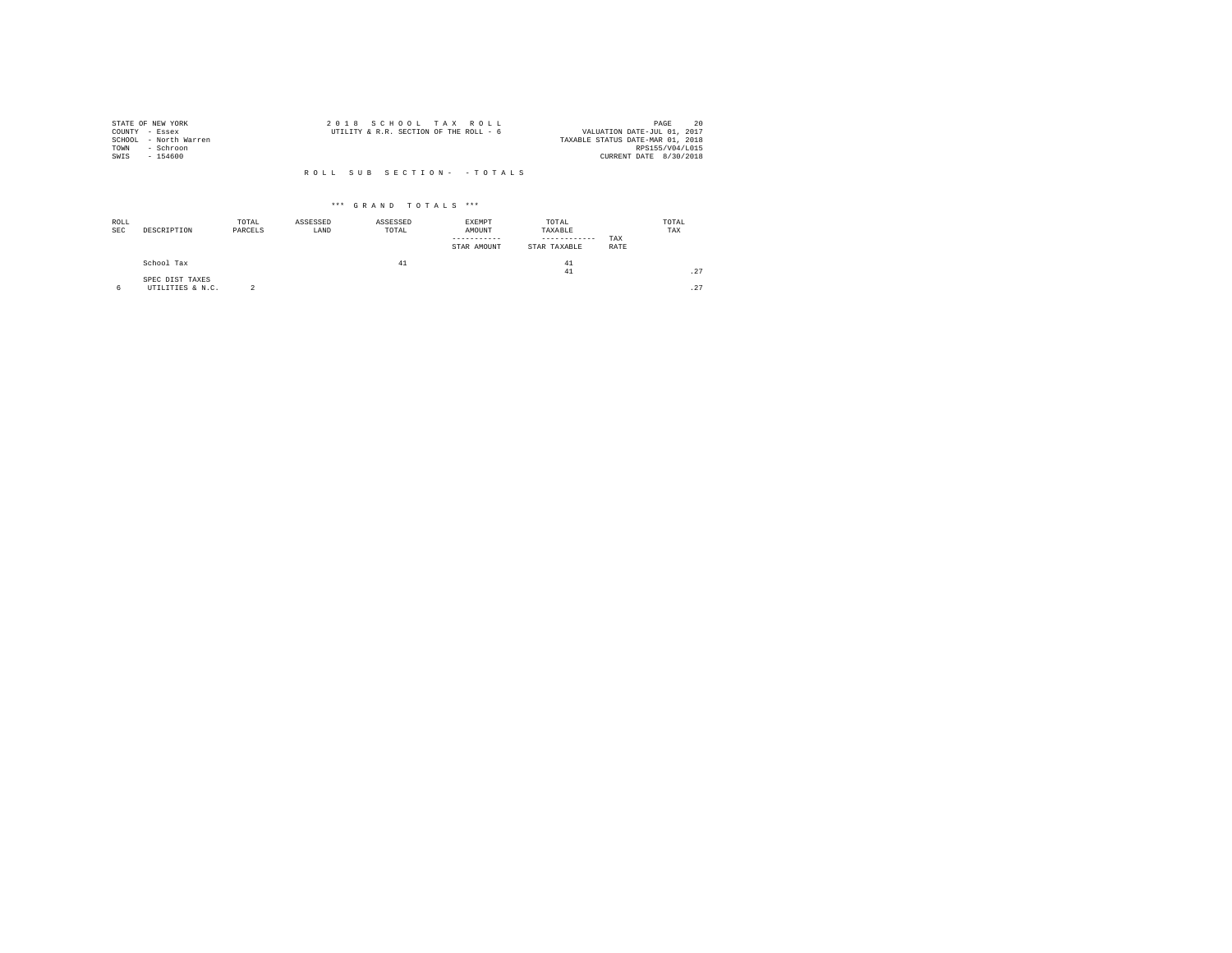|                | STATE OF NEW YORK     | 2018 SCHOOL TAX ROLL                                                  | 20<br>PAGE             |
|----------------|-----------------------|-----------------------------------------------------------------------|------------------------|
| COUNTY - Essex |                       | VALUATION DATE-JUL 01, 2017<br>UTILITY & R.R. SECTION OF THE ROLL - 6 |                        |
|                | SCHOOL - North Warren | TAXABLE STATUS DATE-MAR 01, 2018                                      |                        |
| TOWN           | - Schroon             |                                                                       | RPS155/V04/L015        |
| SWIS           | $-154600$             |                                                                       | CURRENT DATE 8/30/2018 |
|                |                       |                                                                       |                        |
|                |                       | ROLL SUB SECTION- - TOTALS                                            |                        |

| ROLL<br><b>SEC</b> | DESCRIPTION      | TOTAL<br>PARCELS | ASSESSED<br>LAND | ASSESSED<br>TOTAL | EXEMPT<br>AMOUNT<br>-----------<br>STAR AMOUNT | TOTAL<br>TAXABLE<br>------------<br>STAR TAXABLE | TAX<br>RATE | TOTAL<br>TAX |
|--------------------|------------------|------------------|------------------|-------------------|------------------------------------------------|--------------------------------------------------|-------------|--------------|
|                    | School Tax       |                  |                  | 41                |                                                | 41                                               |             |              |
|                    |                  |                  |                  |                   |                                                | 41                                               |             | .27          |
|                    | SPEC DIST TAXES  |                  |                  |                   |                                                |                                                  |             |              |
|                    | UTILITIES & N.C. |                  |                  |                   |                                                |                                                  |             | .27          |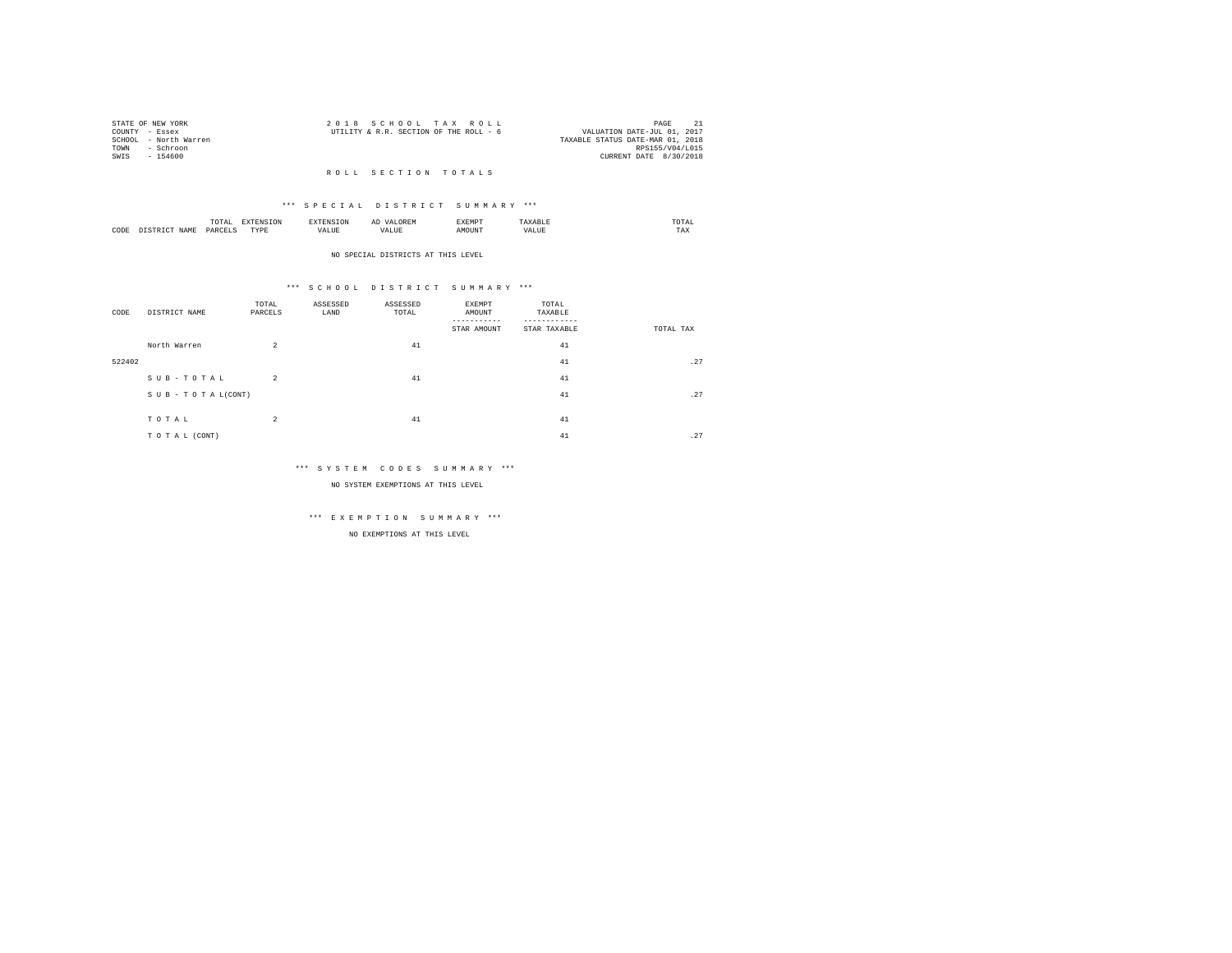|                | STATE OF NEW YORK     | 2018 SCHOOL TAX ROLL                                                  | PAGE            |  |
|----------------|-----------------------|-----------------------------------------------------------------------|-----------------|--|
| COUNTY - Essex |                       | VALUATION DATE-JUL 01, 2017<br>UTILITY & R.R. SECTION OF THE ROLL - 6 |                 |  |
|                | SCHOOL - North Warren | TAXABLE STATUS DATE-MAR 01, 2018                                      |                 |  |
| TOWN           | - Schroon             |                                                                       | RPS155/V04/L015 |  |
| SWIS           | - 154600              | CURRENT DATE 8/30/2018                                                |                 |  |
|                |                       |                                                                       |                 |  |

## R O L L S E C T I O N T O T A L S

## \*\*\* S P E C I A L D I S T R I C T S U M M A R Y \*\*\*

|      |   | ----<br>.'O'TAL<br>the contract of the contract of the contract of the contract of the contract of | ---<br>the contract of the contract of the contract of the contract of the contract of | <b>CAN INF</b> | ----- |      | moms:<br>the contract of the contract of the contract of |  |
|------|---|----------------------------------------------------------------------------------------------------|----------------------------------------------------------------------------------------|----------------|-------|------|----------------------------------------------------------|--|
| CODE | - | DARCEL.<br>$\sim$<br>________                                                                      | <b>TVDk</b><br>.                                                                       | $\cdots$<br>.  | MOUN. | ∿JU⊾ | TAX                                                      |  |

#### NO SPECIAL DISTRICTS AT THIS LEVEL

## \*\*\* S C H O O L D I S T R I C T S U M M A R Y \*\*\*

| CODE   | DISTRICT NAME       | TOTAL<br>PARCELS | ASSESSED<br>LAND | ASSESSED<br>TOTAL | EXEMPT<br>AMOUNT<br>STAR AMOUNT | TOTAL<br>TAXABLE<br>STAR TAXABLE | TOTAL TAX |
|--------|---------------------|------------------|------------------|-------------------|---------------------------------|----------------------------------|-----------|
|        | North Warren        | $\overline{a}$   |                  | 41                |                                 | 41                               |           |
| 522402 |                     |                  |                  |                   |                                 | 41                               | .27       |
|        | $S$ U B - T O T A L | $\overline{2}$   |                  | 41                |                                 | 41                               |           |
|        | SUB-TOTAL(CONT)     |                  |                  |                   |                                 | 41                               | .27       |
|        | TOTAL               | $\overline{a}$   |                  | 41                |                                 | 41                               |           |
|        | TO TAL (CONT)       |                  |                  |                   |                                 | 41                               | .27       |

## \*\*\* S Y S T E M C O D E S S U M M A R Y \*\*\*

NO SYSTEM EXEMPTIONS AT THIS LEVEL

# \*\*\* E X E M P T I O N S U M M A R Y \*\*\*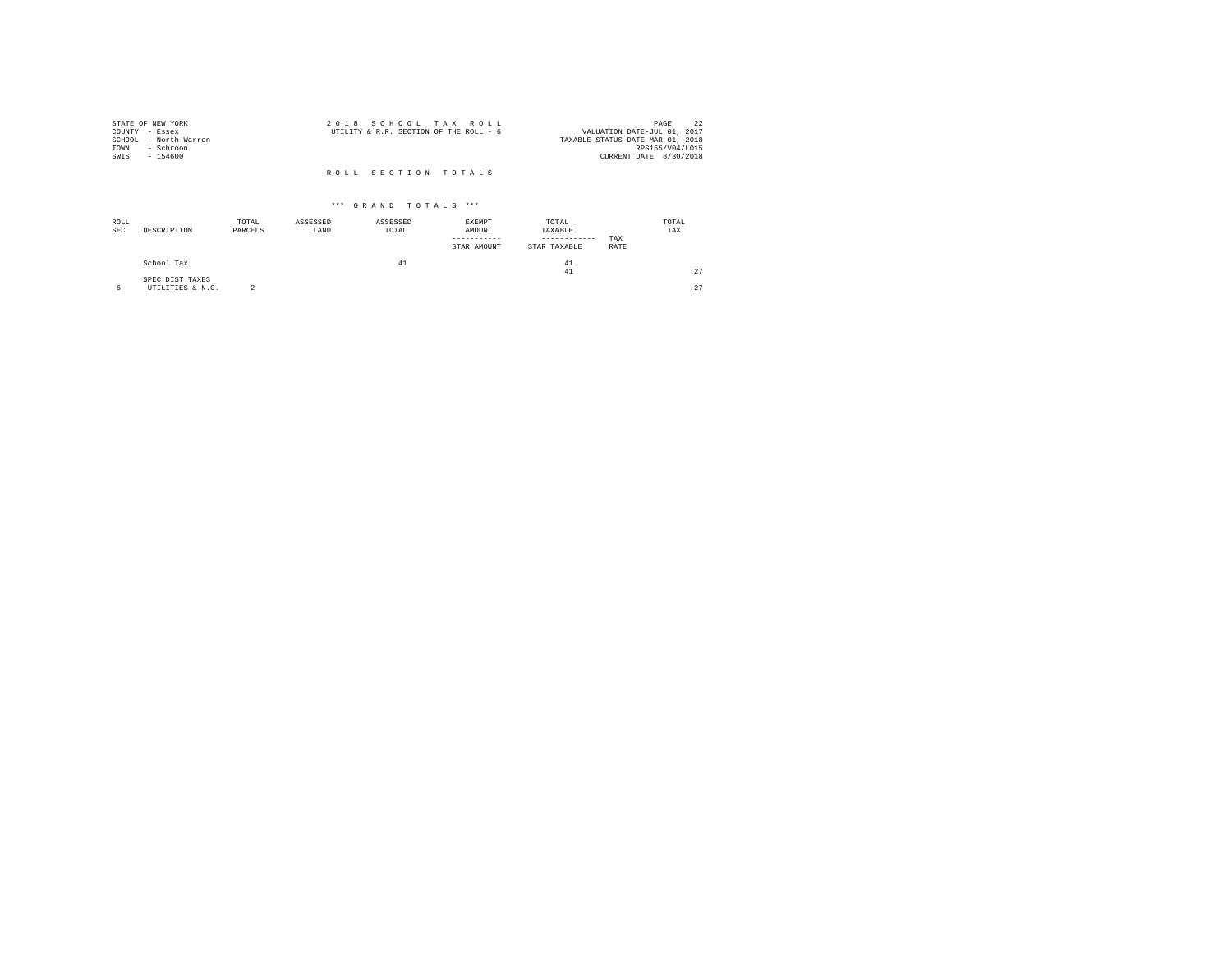|                | STATE OF NEW YORK     | 2018 SCHOOL TAX ROLL                                                  | PAGE            |  |
|----------------|-----------------------|-----------------------------------------------------------------------|-----------------|--|
| COUNTY - Essex |                       | VALUATION DATE-JUL 01, 2017<br>UTILITY & R.R. SECTION OF THE ROLL - 6 |                 |  |
|                | SCHOOL - North Warren | TAXABLE STATUS DATE-MAR 01, 2018                                      |                 |  |
| TOWN           | - Schroon             |                                                                       | RPS155/V04/L015 |  |
| SWIS           | - 154600              | CURRENT DATE 8/30/2018                                                |                 |  |
|                |                       | ROLL SECTION TOTALS                                                   |                 |  |

| ROLL<br><b>SEC</b> | DESCRIPTION                         | TOTAL<br>PARCELS | ASSESSED<br>LAND | ASSESSED<br>TOTAL | EXEMPT<br>AMOUNT<br>STAR AMOUNT | TOTAL<br>TAXABLE<br>------------<br>STAR TAXABLE | TAX<br>RATE | TOTAL<br>TAX |
|--------------------|-------------------------------------|------------------|------------------|-------------------|---------------------------------|--------------------------------------------------|-------------|--------------|
|                    | School Tax                          |                  |                  | 41                |                                 | 41<br>41                                         |             | .27          |
| 6                  | SPEC DIST TAXES<br>UTILITIES & N.C. | $\sim$           |                  |                   |                                 |                                                  |             | .27          |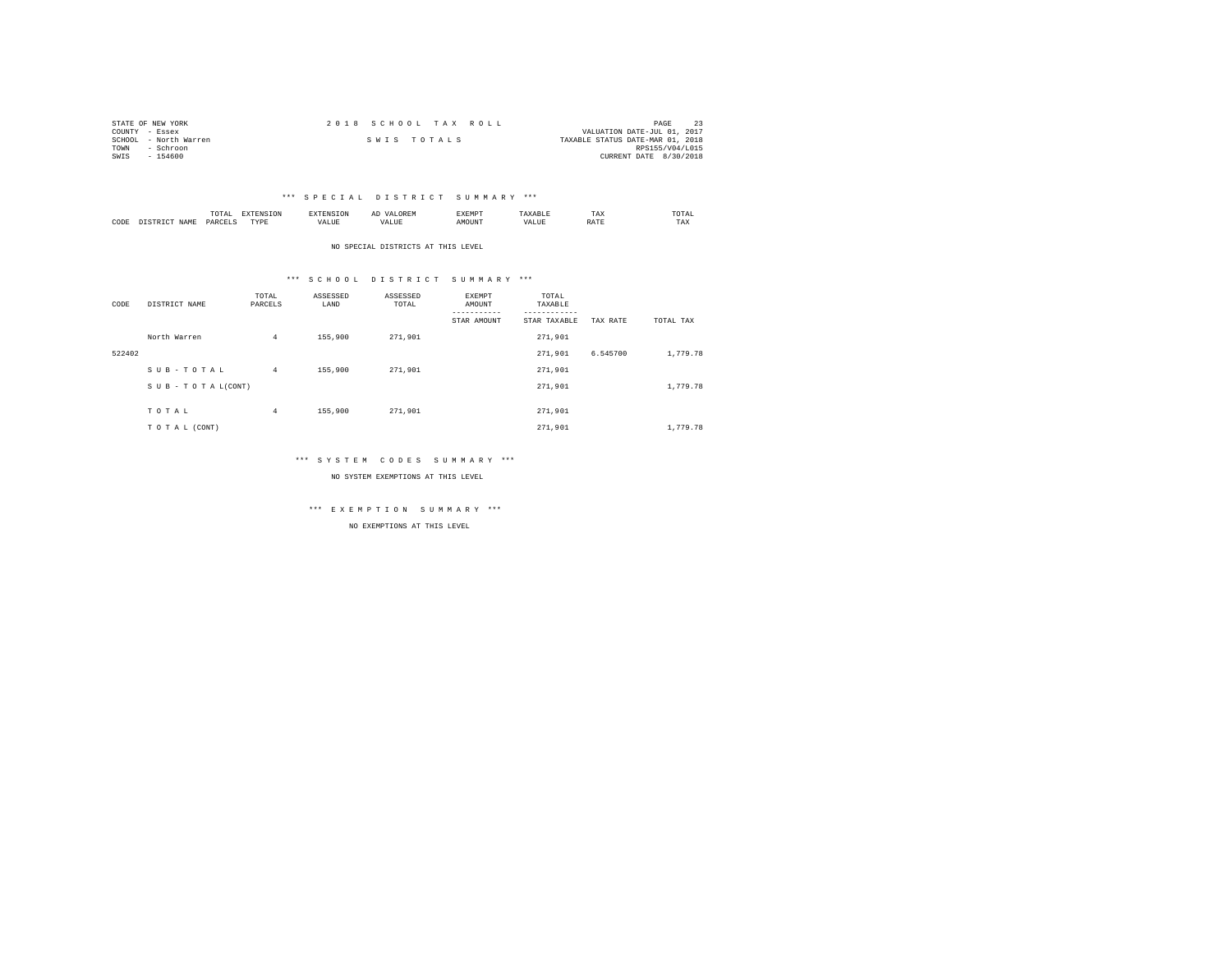| STATE OF NEW YORK |                       |             |  | 2018 SCHOOL TAX ROLL |                                  | PAGE                   |  |
|-------------------|-----------------------|-------------|--|----------------------|----------------------------------|------------------------|--|
| COUNTY - Essex    |                       |             |  |                      | VALUATION DATE-JUL 01, 2017      |                        |  |
|                   | SCHOOL - North Warren | SWIS TOTALS |  |                      | TAXABLE STATUS DATE-MAR 01, 2018 |                        |  |
| TOWN              | - Schroon             |             |  |                      |                                  | RPS155/V04/L015        |  |
| SWIS              | $-154600$             |             |  |                      |                                  | CURRENT DATE 8/30/2018 |  |

|           |                      | 1 U 1 M 1<br>the contract of the contract of the contract of | ---------------  |      | $\sim$<br>. |   | 1 A.A        | 'UIA.<br>the contract of the contract of the contract of |
|-----------|----------------------|--------------------------------------------------------------|------------------|------|-------------|---|--------------|----------------------------------------------------------|
| CODE<br>. | <b>NAME</b><br>11.12 | レムト                                                          | <b>TIDE</b><br>. | ALUE |             | n | <b>Shown</b> | TAX                                                      |

NO SPECIAL DISTRICTS AT THIS LEVEL

## \*\*\* S C H O O L D I S T R I C T S U M M A R Y \*\*\*

| CODE   | DISTRICT NAME   | TOTAL<br>PARCELS | ASSESSED<br>LAND | ASSESSED<br>TOTAL | <b>EXEMPT</b><br>AMOUNT<br>STAR AMOUNT | TOTAL<br>TAXABLE<br>---------<br>STAR TAXABLE | TAX RATE | TOTAL TAX |
|--------|-----------------|------------------|------------------|-------------------|----------------------------------------|-----------------------------------------------|----------|-----------|
|        | North Warren    | $\overline{4}$   | 155,900          | 271,901           |                                        | 271,901                                       |          |           |
| 522402 |                 |                  |                  |                   |                                        | 271.901                                       | 6.545700 | 1,779.78  |
|        | SUB-TOTAL       | $\overline{4}$   | 155,900          | 271,901           |                                        | 271.901                                       |          |           |
|        | SUB-TOTAL(CONT) |                  |                  |                   |                                        | 271.901                                       |          | 1,779.78  |
|        | TOTAL           | $\overline{4}$   | 155,900          | 271,901           |                                        | 271.901                                       |          |           |
|        | TO TAL (CONT)   |                  |                  |                   |                                        | 271.901                                       |          | 1,779.78  |

## \*\*\* S Y S T E M C O D E S S U M M A R Y \*\*\*

NO SYSTEM EXEMPTIONS AT THIS LEVEL

\*\*\* E X E M P T I O N S U M M A R Y \*\*\*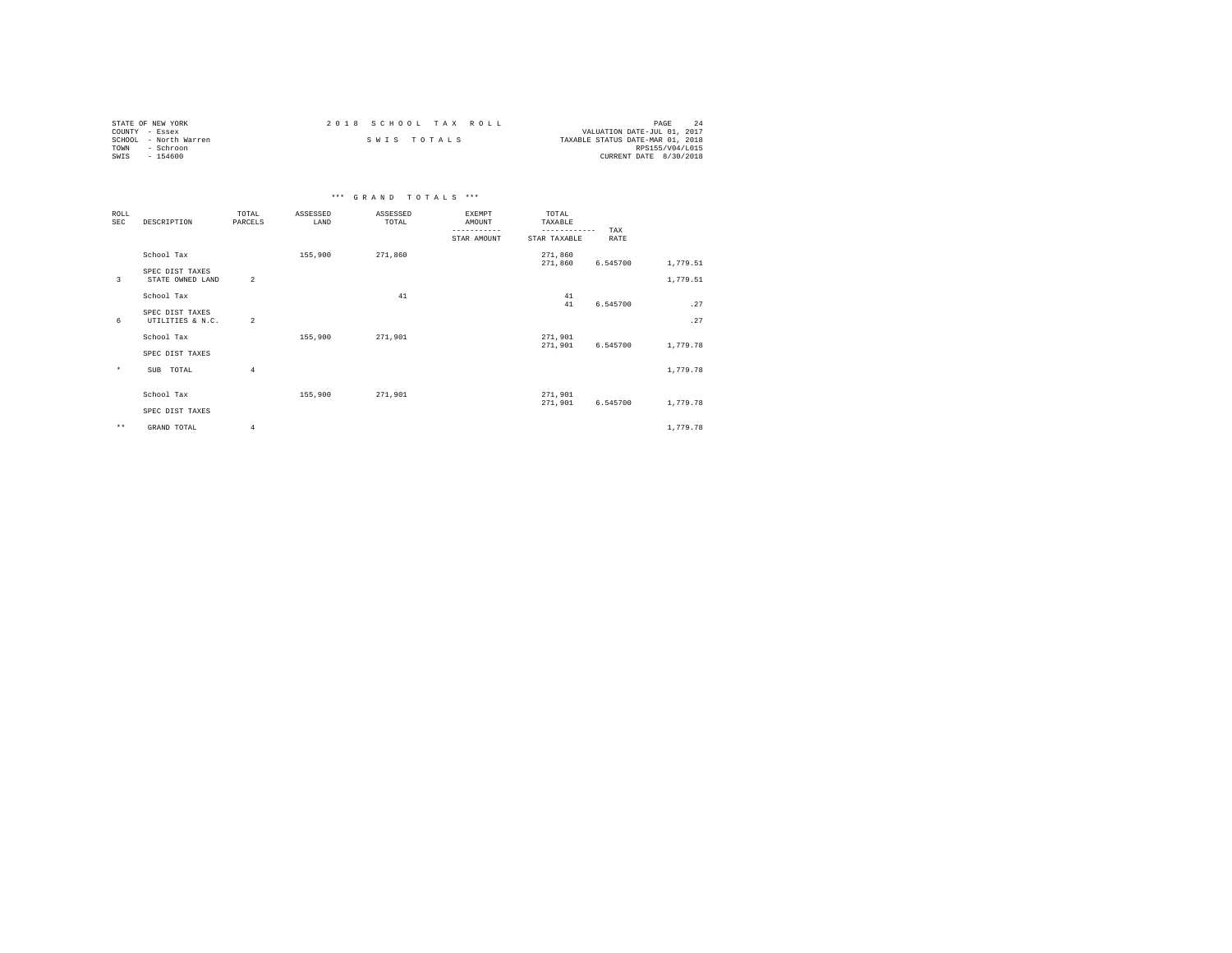| STATE OF NEW YORK     | 2018 SCHOOL TAX ROLL | PAGE                             |
|-----------------------|----------------------|----------------------------------|
| COUNTY - Essex        |                      | VALUATION DATE-JUL 01, 2017      |
| SCHOOL - North Warren | SWIS TOTALS          | TAXABLE STATUS DATE-MAR 01, 2018 |
| TOWN<br>- Schroon     |                      | RPS155/V04/L015                  |
| SWIS<br>$-154600$     |                      | CURRENT DATE 8/30/2018           |

|                           |                                     |                  |                  | *** GRAND TOTALS *** |                                                       |                                                  |                    |          |
|---------------------------|-------------------------------------|------------------|------------------|----------------------|-------------------------------------------------------|--------------------------------------------------|--------------------|----------|
| <b>ROLL</b><br><b>SEC</b> | DESCRIPTION                         | TOTAL<br>PARCELS | ASSESSED<br>LAND | ASSESSED<br>TOTAL    | <b>EXEMPT</b><br>AMOUNT<br>-----------<br>STAR AMOUNT | TOTAL<br>TAXABLE<br>------------<br>STAR TAXABLE | TAX<br><b>RATE</b> |          |
|                           | School Tax                          |                  | 155,900          | 271,860              |                                                       | 271,860<br>271,860                               | 6.545700           | 1,779.51 |
| 3                         | SPEC DIST TAXES<br>STATE OWNED LAND | $\overline{2}$   |                  |                      |                                                       |                                                  |                    | 1,779.51 |
|                           | School Tax                          |                  |                  | 41                   |                                                       | 41<br>41                                         | 6.545700           | .27      |
| 6                         | SPEC DIST TAXES<br>UTILITIES & N.C. | $\overline{2}$   |                  |                      |                                                       |                                                  |                    | .27      |
|                           | School Tax                          |                  | 155,900          | 271,901              |                                                       | 271,901<br>271,901                               | 6.545700           | 1,779.78 |
|                           | SPEC DIST TAXES                     |                  |                  |                      |                                                       |                                                  |                    |          |
| $\star$                   | TOTAL<br>SUB                        | $\overline{4}$   |                  |                      |                                                       |                                                  |                    | 1,779.78 |
|                           | School Tax                          |                  | 155,900          | 271,901              |                                                       | 271,901<br>271,901                               | 6.545700           | 1,779.78 |
|                           | SPEC DIST TAXES                     |                  |                  |                      |                                                       |                                                  |                    |          |
| $\star\star$              | GRAND TOTAL                         | 4                |                  |                      |                                                       |                                                  |                    | 1,779.78 |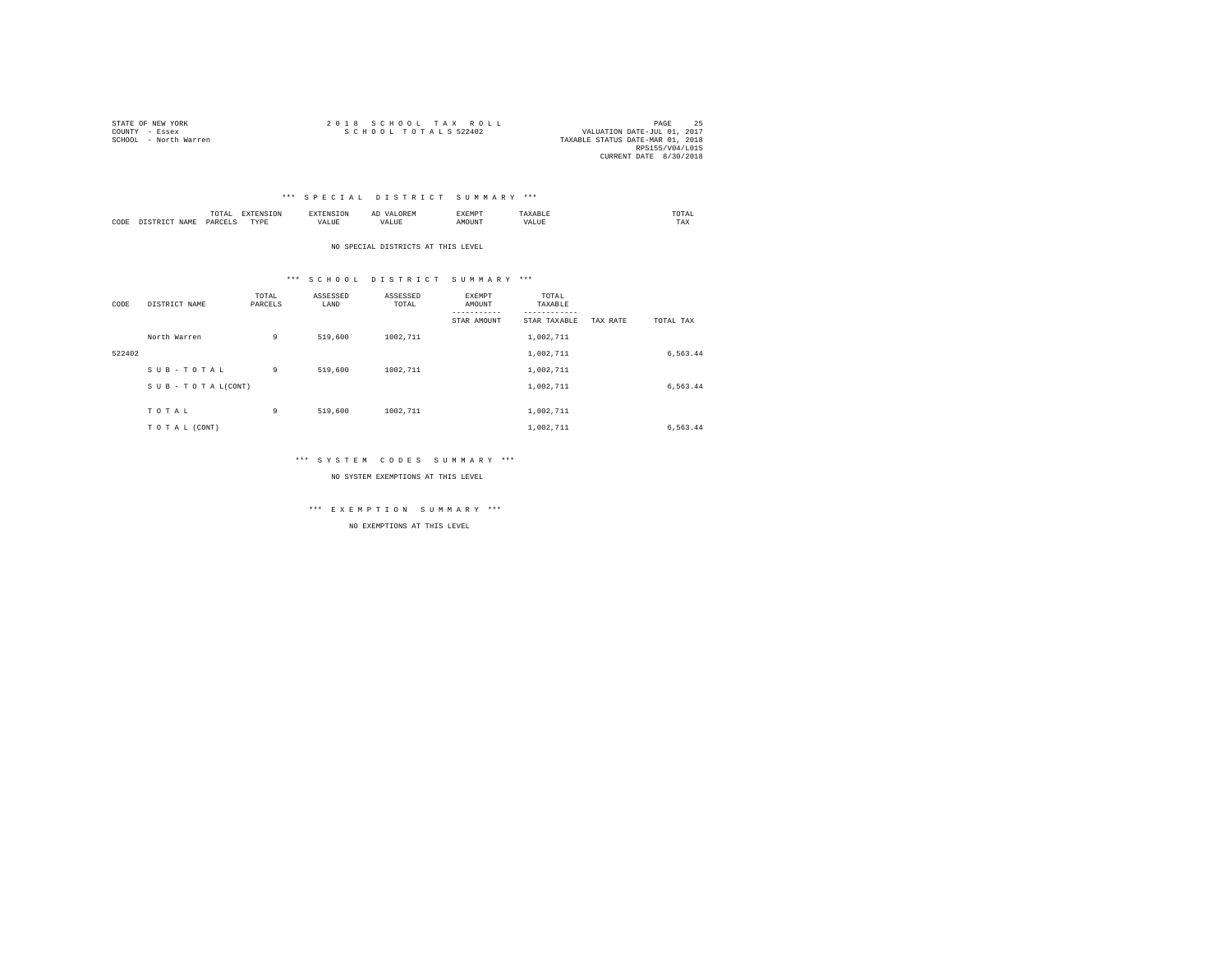| STATE OF NEW YORK     | 2018 SCHOOL TAX ROLL                                | PAGE            |  |
|-----------------------|-----------------------------------------------------|-----------------|--|
| COUNTY - Essex        | SCHOOL TOTALS 522402<br>VALUATION DATE-JUL 01, 2017 |                 |  |
| SCHOOL - North Warren | TAXABLE STATUS DATE-MAR 01, 2018                    |                 |  |
|                       |                                                     | RPS155/V04/L015 |  |
|                       | CURRENT DATE 8/30/2018                              |                 |  |

|           |      | - UIAL<br>the contract of the contract of the contract of the contract of the contract of |           | .                 | 22.11<br>しいじょ | <b>LAEMPT</b> |                 | .'OTAL<br>the contract of the contract of the contract of |
|-----------|------|-------------------------------------------------------------------------------------------|-----------|-------------------|---------------|---------------|-----------------|-----------------------------------------------------------|
| CODE<br>. | IAMI | <b>DAP</b><br>.                                                                           | TVDI<br>. | --- - ---<br>ALUE |               | אוזר          | <b>.</b><br>. a | TAX                                                       |

NO SPECIAL DISTRICTS AT THIS LEVEL

## \*\*\* S C H O O L D I S T R I C T S U M M A R Y \*\*\*

| CODE   | DISTRICT NAME   | TOTAL<br>PARCELS | ASSESSED<br>LAND | ASSESSED<br>TOTAL | <b>EXEMPT</b><br>AMOUNT<br>-----------<br>STAR AMOUNT | TOTAL<br>TAXABLE<br>---------<br>STAR TAXABLE | TAX RATE | TOTAL TAX |
|--------|-----------------|------------------|------------------|-------------------|-------------------------------------------------------|-----------------------------------------------|----------|-----------|
|        | North Warren    | 9                | 519,600          | 1002,711          |                                                       | 1,002,711                                     |          |           |
| 522402 |                 |                  |                  |                   |                                                       | 1,002,711                                     |          | 6,563.44  |
|        | SUB-TOTAL       | 9                | 519,600          | 1002,711          |                                                       | 1,002,711                                     |          |           |
|        | SUB-TOTAL(CONT) |                  |                  |                   |                                                       | 1,002,711                                     |          | 6,563.44  |
|        | TOTAL           | 9                | 519,600          | 1002.711          |                                                       | 1,002,711                                     |          |           |
|        | TO TAL (CONT)   |                  |                  |                   |                                                       | 1.002.711                                     |          | 6,563.44  |

## \*\*\* S Y S T E M C O D E S S U M M A R Y \*\*\*

NO SYSTEM EXEMPTIONS AT THIS LEVEL

\*\*\* E X E M P T I O N S U M M A R Y \*\*\*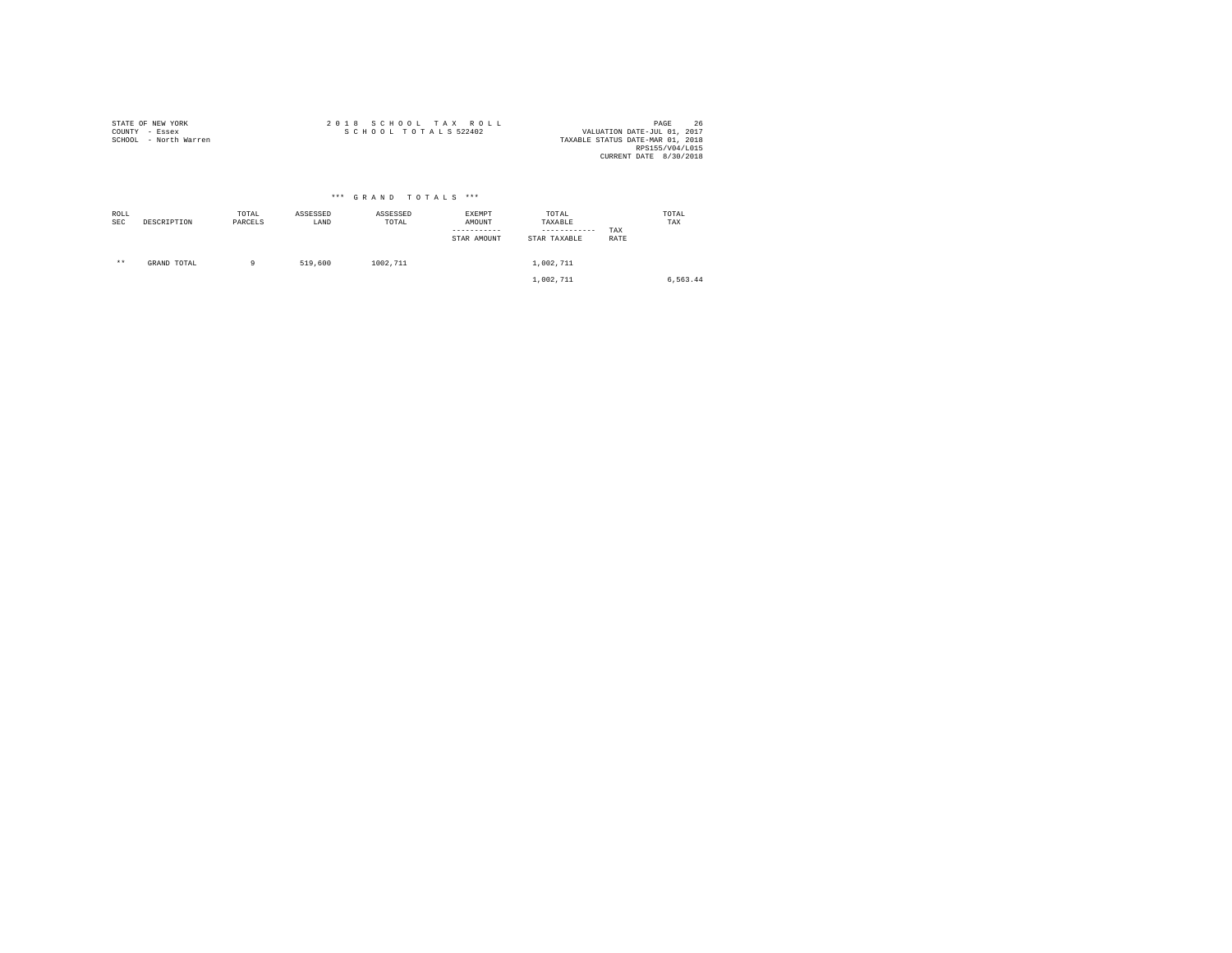| STATE OF NEW YORK     |  |  |  |  |  |  |  |                      |  | 2018 SCHOOL TAX ROLL | 26<br>PAGE                       |
|-----------------------|--|--|--|--|--|--|--|----------------------|--|----------------------|----------------------------------|
| COUNTY - Essex        |  |  |  |  |  |  |  | SCHOOL TOTALS 522402 |  |                      | VALUATION DATE-JUL 01, 2017      |
| SCHOOL - North Warren |  |  |  |  |  |  |  |                      |  |                      | TAXABLE STATUS DATE-MAR 01, 2018 |
|                       |  |  |  |  |  |  |  |                      |  |                      | RPS155/V04/L015                  |
|                       |  |  |  |  |  |  |  |                      |  |                      | CURRENT DATE 8/30/2018           |

|             |             |                  |                  | *** GRAND TOTALS *** |                                 |                                                  |             |              |
|-------------|-------------|------------------|------------------|----------------------|---------------------------------|--------------------------------------------------|-------------|--------------|
| ROLL<br>SEC | DESCRIPTION | TOTAL<br>PARCELS | ASSESSED<br>LAND | ASSESSED<br>TOTAL    | EXEMPT<br>AMOUNT<br>STAR AMOUNT | TOTAL<br>TAXABLE<br>------------<br>STAR TAXABLE | TAX<br>RATE | TOTAL<br>TAX |
| $***$       | GRAND TOTAL | 9                | 519,600          | 1002.711             |                                 | 1,002,711<br>1,002,711                           |             | 6,563.44     |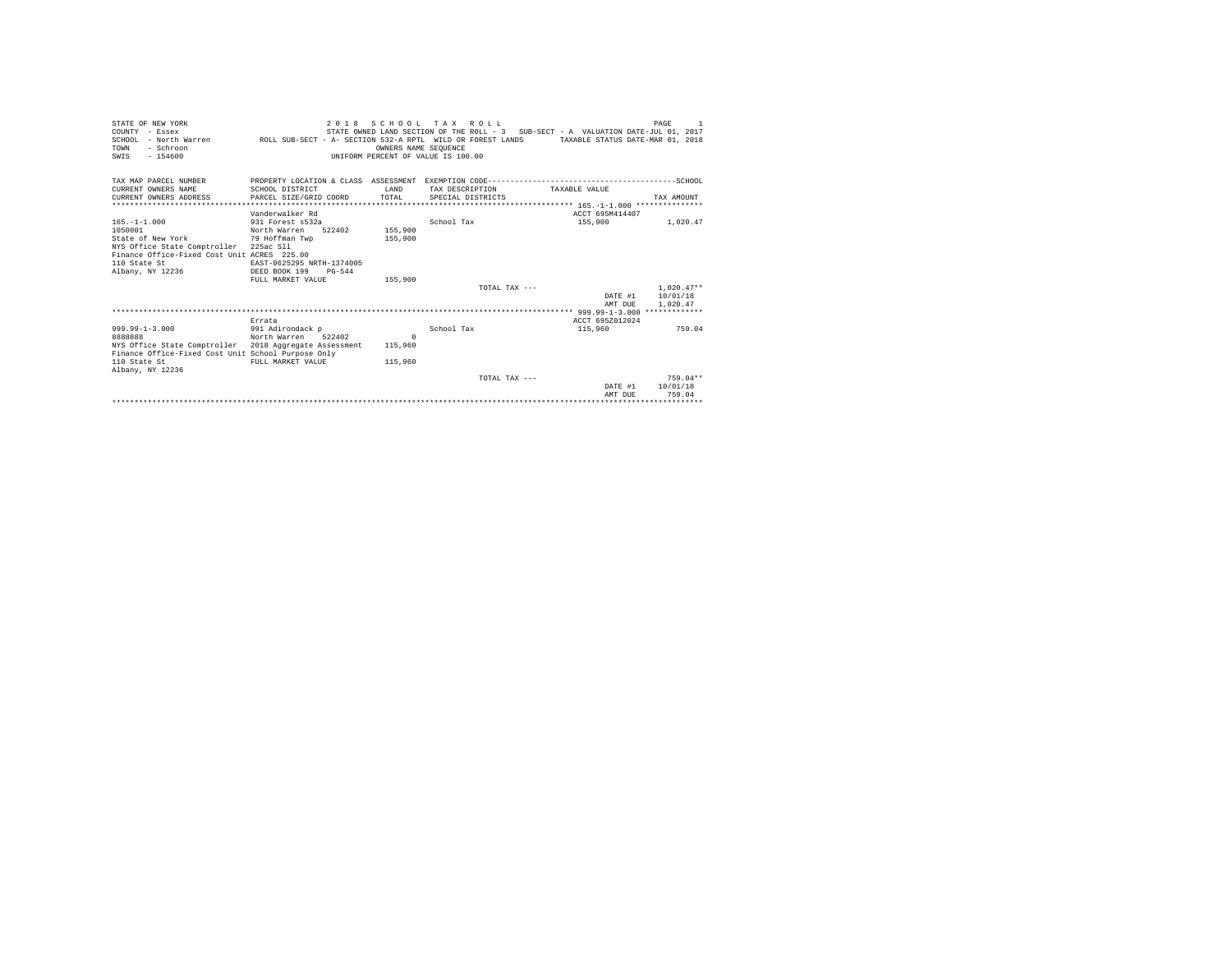| STATE OF NEW YORK<br>COUNTY - Essex<br>SCHOOL - North Warren MROLL SUB-SECT - A- SECTION 532-A RPTL WILD OR FOREST LANDS TAXABLE STATUS DATE-MAR 01, 2018<br>- Schroon<br>TOWN<br>$-154600$<br>SWIS |                                                                                                                       |                    | 2018 SCHOOL TAX ROLL<br>OWNERS NAME SEOUENCE<br>UNIFORM PERCENT OF VALUE IS 100.00 |                   | STATE OWNED LAND SECTION OF THE ROLL - 3 SUB-SECT - A VALUATION DATE-JUL 01, 2017 |               |                    | PAGE<br>$\overline{1}$                       |
|-----------------------------------------------------------------------------------------------------------------------------------------------------------------------------------------------------|-----------------------------------------------------------------------------------------------------------------------|--------------------|------------------------------------------------------------------------------------|-------------------|-----------------------------------------------------------------------------------|---------------|--------------------|----------------------------------------------|
| TAX MAP PARCEL NUMBER<br>CURRENT OWNERS NAME<br>CURRENT OWNERS ADDRESS                                                                                                                              | SCHOOL DISTRICT<br>PARCEL SIZE/GRID COORD                                                                             |                    | T.AND<br>TOTAL                                                                     | SPECIAL DISTRICTS | TAX DESCRIPTION                                                                   | TAXARLE VALUE |                    | TAX AMOUNT                                   |
|                                                                                                                                                                                                     |                                                                                                                       |                    |                                                                                    |                   |                                                                                   |               |                    |                                              |
|                                                                                                                                                                                                     | Vanderwalker Rd                                                                                                       |                    |                                                                                    |                   |                                                                                   |               | ACCT 695M414407    |                                              |
| $165. - 1 - 1.000$<br>1050001<br>State of New York<br>NYS Office State Comptroller 225ac Sll<br>Finance Office-Fixed Cost Unit ACRES 225.00<br>110 State St<br>Albany, NY 12236                     | 931 Forest s532a<br>North Warren<br>79 Hoffman Twp<br>EAST-0625295 NRTH-1374005<br>DEED BOOK 199<br>FULL MARKET VALUE | 522402<br>$PG-544$ | 155,900<br>155,900<br>155,900                                                      | School Tax        | TOTAL TAX $---$                                                                   |               | 155,900            | 1,020.47<br>$1.020.47**$<br>DATE #1 10/01/18 |
|                                                                                                                                                                                                     |                                                                                                                       |                    |                                                                                    |                   |                                                                                   |               | AMT DUE            | 1,020.47                                     |
|                                                                                                                                                                                                     |                                                                                                                       |                    |                                                                                    |                   |                                                                                   |               |                    |                                              |
|                                                                                                                                                                                                     | Errata                                                                                                                |                    |                                                                                    |                   |                                                                                   |               | ACCT 695Z012024    |                                              |
| $999.99 - 1 - 3.000$<br>8888888<br>NYS Office State Comptroller 2018 Aggregate Assessment<br>Finance Office-Fixed Cost Unit School Purpose Only<br>110 State St<br>Albany, NY 12236                 | 991 Adirondack p<br>North Warren 522402<br>FULL MARKET VALUE                                                          |                    | $\Omega$<br>115,960<br>115,960                                                     | School Tax        |                                                                                   |               | 115,960            | 759.04                                       |
|                                                                                                                                                                                                     |                                                                                                                       |                    |                                                                                    |                   | TOTAL TAX $---$                                                                   |               |                    | $759.04**$                                   |
|                                                                                                                                                                                                     |                                                                                                                       |                    |                                                                                    |                   |                                                                                   |               | DATE #1<br>AMT DUE | 10/01/18<br>759.04                           |
|                                                                                                                                                                                                     |                                                                                                                       |                    |                                                                                    |                   |                                                                                   |               |                    |                                              |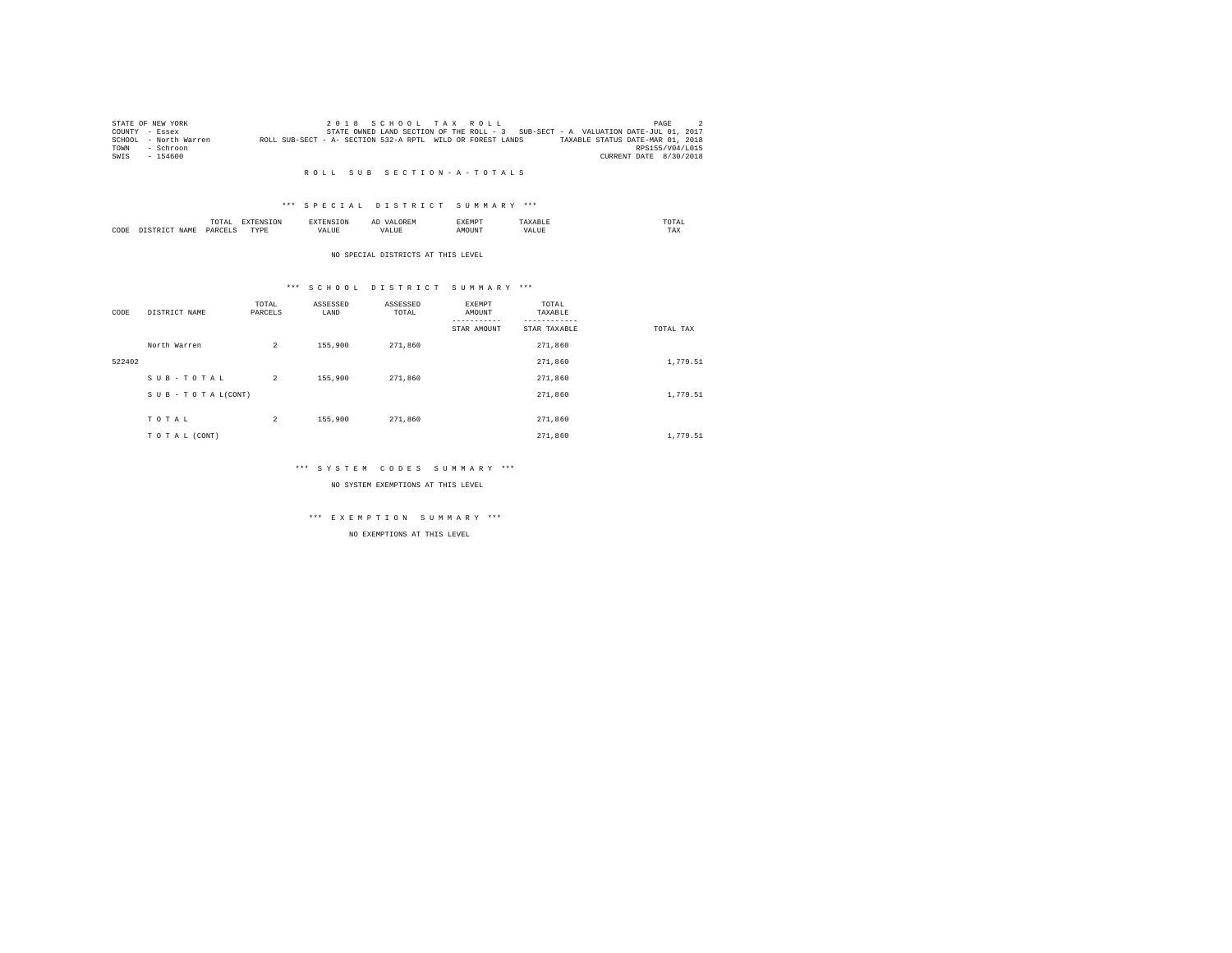|      | STATE OF NEW YORK     |                                                            |  |  | 2018 SCHOOL TAX ROLL |                                                                                   | PAGE                   |  |
|------|-----------------------|------------------------------------------------------------|--|--|----------------------|-----------------------------------------------------------------------------------|------------------------|--|
|      | COUNTY - Essex        |                                                            |  |  |                      | STATE OWNED LAND SECTION OF THE ROLL - 3 SUB-SECT - A VALUATION DATE-JUL 01, 2017 |                        |  |
|      | SCHOOL - North Warren | ROLL SUB-SECT - A- SECTION 532-A RPTL WILD OR FOREST LANDS |  |  |                      | TAXABLE STATUS DATE-MAR 01, 2018                                                  |                        |  |
| TOWN | - Schroon             |                                                            |  |  |                      |                                                                                   | RPS155/V04/L015        |  |
| SWIS | $-154600$             |                                                            |  |  |                      |                                                                                   | CURRENT DATE 8/30/2018 |  |

#### R O L L S U B S E C T I O N - A - T O T A L S

## \*\*\* S P E C I A L D I S T R I C T S U M M A R Y \*\*\*

|      |              | ິ<br>the contract of the contract of the contract of the contract of the contract of |           |      | V A I<br>AL             | .      |      | OTAI<br>the contract of the contract of the contract of |  |
|------|--------------|--------------------------------------------------------------------------------------|-----------|------|-------------------------|--------|------|---------------------------------------------------------|--|
| CODE | <b>ALAME</b> | OAPC                                                                                 | rvnt<br>. | ALUE | $+ 7772$<br>.<br>alult. | AMOUN? | $ -$ | TAX                                                     |  |

#### NO SPECIAL DISTRICTS AT THIS LEVEL

## \*\*\* S C H O O L D I S T R I C T S U M M A R Y \*\*\*

| CODE   | DISTRICT NAME      | TOTAL<br>PARCELS | ASSESSED<br>LAND | ASSESSED<br>TOTAL | <b>EXEMPT</b><br>AMOUNT<br>STAR AMOUNT | TOTAL<br>TAXABLE<br>STAR TAXABLE | TOTAL TAX |
|--------|--------------------|------------------|------------------|-------------------|----------------------------------------|----------------------------------|-----------|
|        | North Warren       | $\overline{a}$   | 155,900          | 271,860           |                                        | 271,860                          |           |
| 522402 |                    |                  |                  |                   |                                        | 271,860                          | 1,779.51  |
|        | SUB-TOTAL          | $\overline{a}$   | 155,900          | 271,860           |                                        | 271,860                          |           |
|        | SUB - TO TAL(CONT) |                  |                  |                   |                                        | 271,860                          | 1,779.51  |
|        | TOTAL              | 2                | 155,900          | 271,860           |                                        | 271,860                          |           |
|        |                    |                  |                  |                   |                                        |                                  |           |
|        | TO TAL (CONT)      |                  |                  |                   |                                        | 271,860                          | 1,779.51  |

## \*\*\* S Y S T E M C O D E S S U M M A R Y \*\*\*

NO SYSTEM EXEMPTIONS AT THIS LEVEL

## \*\*\* E X E M P T I O N S U M M A R Y \*\*\*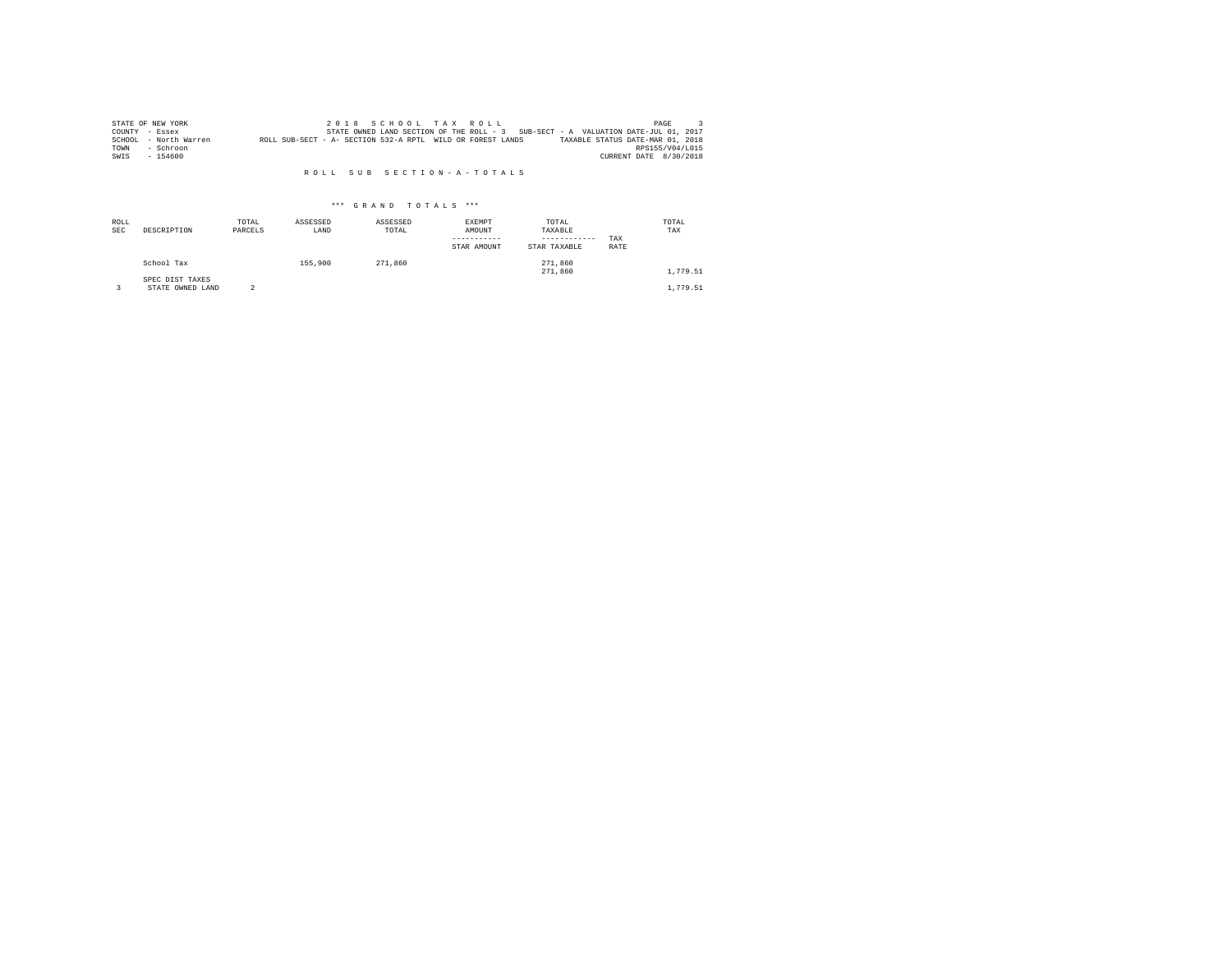|      | STATE OF NEW YORK     |                                                            |  |  | 2018 SCHOOL TAX ROLL |  |                                                                                   |                        | PAGE |  |
|------|-----------------------|------------------------------------------------------------|--|--|----------------------|--|-----------------------------------------------------------------------------------|------------------------|------|--|
|      | COUNTY - Essex        |                                                            |  |  |                      |  | STATE OWNED LAND SECTION OF THE ROLL - 3 SUB-SECT - A VALUATION DATE-JUL 01, 2017 |                        |      |  |
|      | SCHOOL - North Warren | ROLL SUB-SECT - A- SECTION 532-A RPTL WILD OR FOREST LANDS |  |  |                      |  | TAXABLE STATUS DATE-MAR 01, 2018                                                  |                        |      |  |
| TOWN | - Schroon             |                                                            |  |  |                      |  |                                                                                   | RPS155/V04/L015        |      |  |
| SWIS | $-154600$             |                                                            |  |  |                      |  |                                                                                   | CURRENT DATE 8/30/2018 |      |  |

#### R O L L S U B S E C T I O N - A - T O T A L S

| ROLL<br><b>SEC</b> | DESCRIPTION                         | TOTAL<br>PARCELS | ASSESSED<br>LAND | ASSESSED<br>TOTAL | <b>EXEMPT</b><br>AMOUNT<br>STAR AMOUNT | TOTAL<br>TAXABLE<br>------------<br>STAR TAXABLE | TAX<br>RATE | TOTAL<br>TAX |
|--------------------|-------------------------------------|------------------|------------------|-------------------|----------------------------------------|--------------------------------------------------|-------------|--------------|
|                    | School Tax                          |                  | 155,900          | 271,860           |                                        | 271,860<br>271,860                               |             | 1,779.51     |
|                    | SPEC DIST TAXES<br>STATE OWNED LAND |                  |                  |                   |                                        |                                                  |             | 1,779.51     |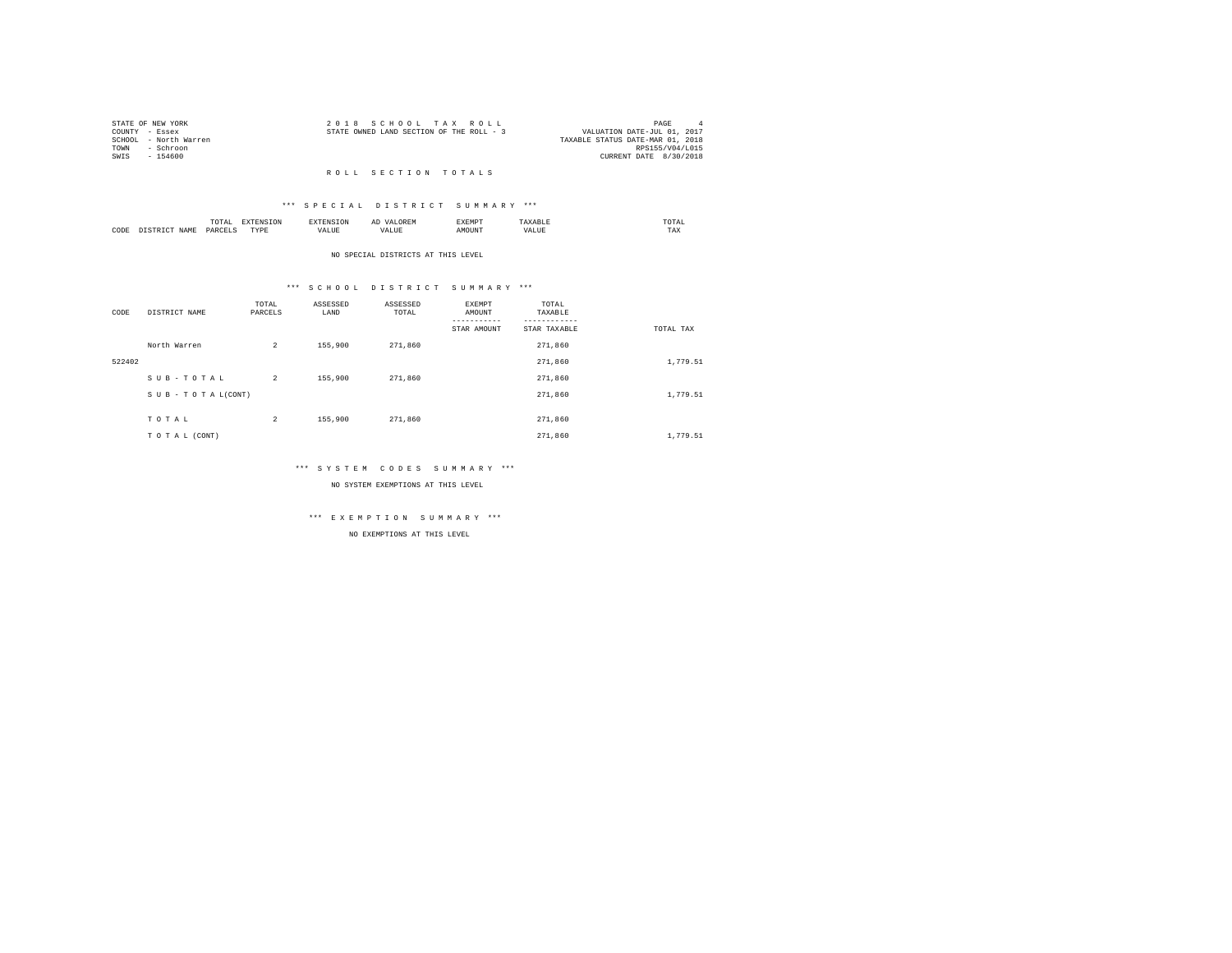| STATE OF NEW YORK     | 2018 SCHOOL TAX ROLL                     | PAGE                        | $\Delta$ |
|-----------------------|------------------------------------------|-----------------------------|----------|
| COUNTY - Essex        | STATE OWNED LAND SECTION OF THE ROLL - 3 | VALUATION DATE-JUL 01, 2017 |          |
| SCHOOL - North Warren | TAXABLE STATUS DATE-MAR 01, 2018         |                             |          |
| TOWN<br>- Schroon     |                                          | RPS155/V04/L015             |          |
| SWIS<br>$-154600$     |                                          | CURRENT DATE 8/30/2018      |          |
|                       |                                          |                             |          |

## R O L L S E C T I O N T O T A L S

## \*\*\* S P E C I A L D I S T R I C T S U M M A R Y \*\*\*

|      |             | -<br>the contract of the contract of the contract of the contract of the contract of | the contract of the contract of the contract of the contract of the contract of | ----      |                  | .      |                        | the contract of the contract of the contract of |
|------|-------------|--------------------------------------------------------------------------------------|---------------------------------------------------------------------------------|-----------|------------------|--------|------------------------|-------------------------------------------------|
| CODE | <b>TAMY</b> | レムドく                                                                                 | TVDI<br>.                                                                       | --- - --- | ۰Δ.<br>- مايلې د | 'OUN'. | $\cdots$<br>۰.<br>ALUE | $m \times n$<br>ΓAΧ.                            |

#### NO SPECIAL DISTRICTS AT THIS LEVEL

## \*\*\* S C H O O L D I S T R I C T S U M M A R Y \*\*\*

| CODE   | DISTRICT NAME      | TOTAL<br>PARCELS | ASSESSED<br>LAND | ASSESSED<br>TOTAL | EXEMPT<br>AMOUNT | TOTAL<br>TAXABLE |           |
|--------|--------------------|------------------|------------------|-------------------|------------------|------------------|-----------|
|        |                    |                  |                  |                   | STAR AMOUNT      | STAR TAXABLE     | TOTAL TAX |
|        | North Warren       | $\overline{a}$   | 155,900          | 271,860           |                  | 271,860          |           |
| 522402 |                    |                  |                  |                   |                  | 271,860          | 1,779.51  |
|        | SUB-TOTAL          | $\overline{2}$   | 155,900          | 271,860           |                  | 271,860          |           |
|        | SUB - TO TAL(CONT) |                  |                  |                   |                  | 271,860          | 1,779.51  |
|        |                    |                  |                  |                   |                  |                  |           |
|        | TOTAL              | $\overline{a}$   | 155,900          | 271,860           |                  | 271,860          |           |
|        | TO TAL (CONT)      |                  |                  |                   |                  | 271,860          | 1,779.51  |

## \*\*\* S Y S T E M C O D E S S U M M A R Y \*\*\*

NO SYSTEM EXEMPTIONS AT THIS LEVEL

## \*\*\* E X E M P T I O N S U M M A R Y \*\*\*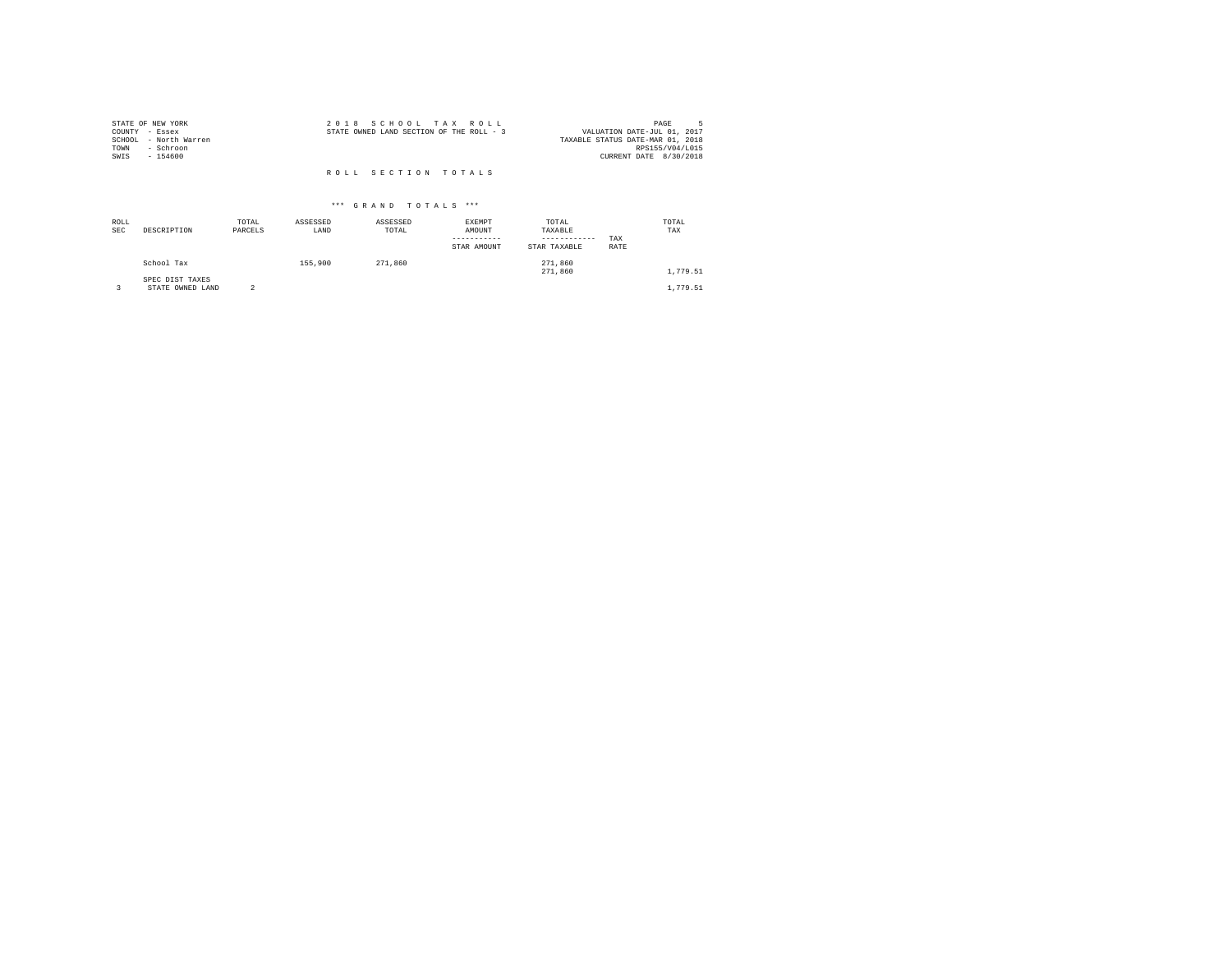| STATE OF NEW YORK                          | 2018 SCHOOL TAX ROLL                     | PAGE                                                            |
|--------------------------------------------|------------------------------------------|-----------------------------------------------------------------|
| COUNTY - Essex<br>- North Warren<br>SCHOOL | STATE OWNED LAND SECTION OF THE ROLL - 3 | VALUATION DATE-JUL 01, 2017<br>TAXABLE STATUS DATE-MAR 01, 2018 |
| - Schroon<br>TOWN                          |                                          | RPS155/V04/L015                                                 |
| SWIS<br>$-154600$                          |                                          | CURRENT DATE 8/30/2018                                          |
|                                            | ROLL SECTION TOTALS                      |                                                                 |

| ROLL<br><b>SEC</b> | DESCRIPTION                         | TOTAL<br>PARCELS | ASSESSED<br>LAND | ASSESSED<br>TOTAL | <b>EXEMPT</b><br>AMOUNT<br>STAR AMOUNT | TOTAL<br>TAXABLE<br>------------<br>STAR TAXABLE | TAX<br>RATE | TOTAL<br>TAX |
|--------------------|-------------------------------------|------------------|------------------|-------------------|----------------------------------------|--------------------------------------------------|-------------|--------------|
|                    | School Tax                          |                  | 155,900          | 271,860           |                                        | 271,860<br>271,860                               |             | 1,779.51     |
|                    | SPEC DIST TAXES<br>STATE OWNED LAND |                  |                  |                   |                                        |                                                  |             | 1,779.51     |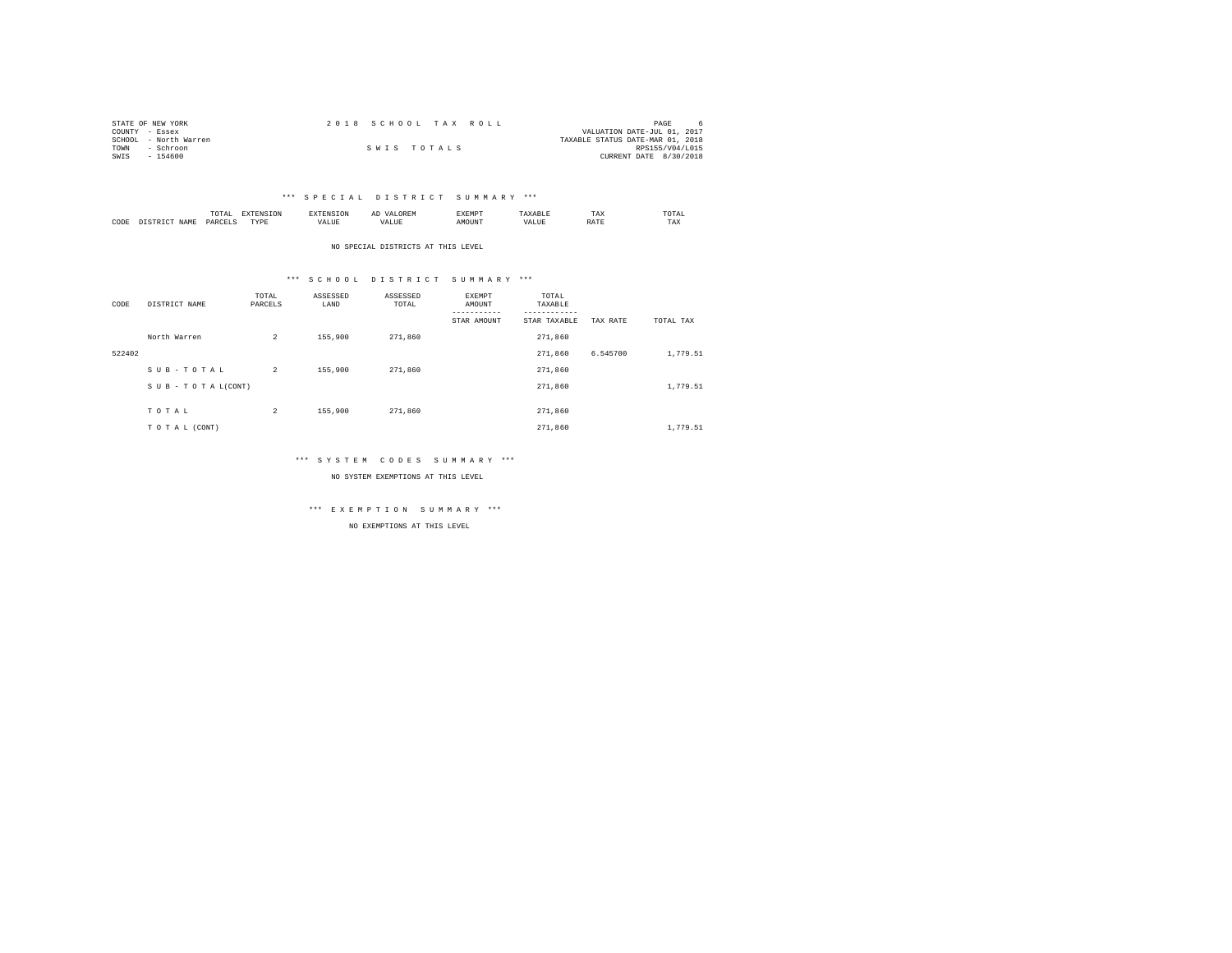| STATE OF NEW YORK     | 2018 SCHOOL TAX ROLL | PAGE                             |
|-----------------------|----------------------|----------------------------------|
| COUNTY - Essex        |                      | VALUATION DATE-JUL 01, 2017      |
| SCHOOL - North Warren |                      | TAXABLE STATUS DATE-MAR 01, 2018 |
| TOWN<br>- Schroon     | SWIS TOTALS          | RPS155/V04/L015                  |
| $-154600$<br>SWIS     |                      | CURRENT DATE 8/30/2018           |

|                   |       | $n \wedge m$<br>the contract of the contract of the contract of | ----      |       | SXEMP' | 1 A.A | TOTAL<br>the contract of the contract of the contract of |
|-------------------|-------|-----------------------------------------------------------------|-----------|-------|--------|-------|----------------------------------------------------------|
| C <sub>0</sub> DE | .7.14 | אקבכ                                                            | TVDI<br>. | 'ALUE | MOUNT  | .     | $- - -$<br>ΓAΧ.                                          |

NO SPECIAL DISTRICTS AT THIS LEVEL

## \*\*\* S C H O O L D I S T R I C T S U M M A R Y \*\*\*

| CODE   | DISTRICT NAME   | TOTAL<br>PARCELS | ASSESSED<br>LAND | ASSESSED<br>TOTAL | <b>EXEMPT</b><br>AMOUNT<br>-----------<br>STAR AMOUNT | TOTAL<br>TAXABLE<br>---------<br>STAR TAXABLE | TAX RATE | TOTAL TAX |
|--------|-----------------|------------------|------------------|-------------------|-------------------------------------------------------|-----------------------------------------------|----------|-----------|
|        | North Warren    | $\overline{a}$   | 155,900          | 271,860           |                                                       | 271,860                                       |          |           |
| 522402 |                 |                  |                  |                   |                                                       | 271,860                                       | 6.545700 | 1,779.51  |
|        | SUB-TOTAL       | $\overline{2}$   | 155,900          | 271,860           |                                                       | 271,860                                       |          |           |
|        | SUB-TOTAL(CONT) |                  |                  |                   |                                                       | 271,860                                       |          | 1,779.51  |
|        | TOTAL           | $\overline{a}$   | 155,900          | 271,860           |                                                       | 271,860                                       |          |           |
|        | TO TAL (CONT)   |                  |                  |                   |                                                       | 271,860                                       |          | 1,779.51  |

## \*\*\* S Y S T E M C O D E S S U M M A R Y \*\*\*

NO SYSTEM EXEMPTIONS AT THIS LEVEL

\*\*\* E X E M P T I O N S U M M A R Y \*\*\*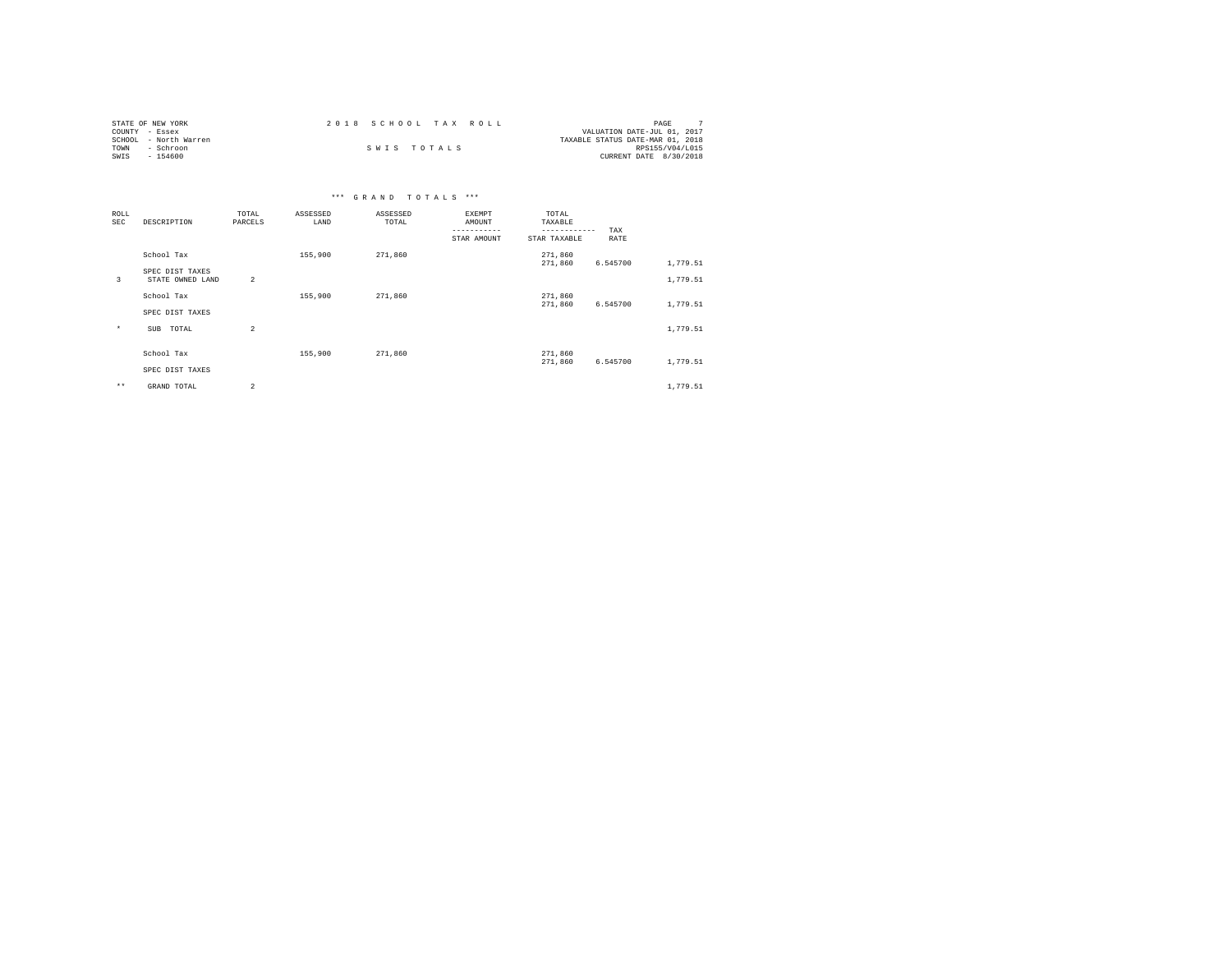| STATE OF NEW YORK     | 2018 SCHOOL TAX ROLL | PAGE                             |
|-----------------------|----------------------|----------------------------------|
| COUNTY - Essex        |                      | VALUATION DATE-JUL 01, 2017      |
| SCHOOL - North Warren |                      | TAXABLE STATUS DATE-MAR 01, 2018 |
| TOWN<br>- Schroon     | SWIS TOTALS          | RPS155/V04/L015                  |
| SWIS<br>$-154600$     |                      | CURRENT DATE 8/30/2018           |

| ROLL<br>SEC  | DESCRIPTION      | TOTAL<br>PARCELS        | ASSESSED<br>LAND | ASSESSED<br>TOTAL | EXEMPT<br>AMOUNT<br>-----------<br>STAR AMOUNT | TOTAL<br>TAXABLE<br>------------<br>STAR TAXABLE | TAX<br>RATE |          |
|--------------|------------------|-------------------------|------------------|-------------------|------------------------------------------------|--------------------------------------------------|-------------|----------|
|              | School Tax       |                         | 155,900          | 271,860           |                                                | 271,860                                          |             |          |
|              | SPEC DIST TAXES  |                         |                  |                   |                                                | 271,860                                          | 6.545700    | 1,779.51 |
| 3            | STATE OWNED LAND | $\overline{2}$          |                  |                   |                                                |                                                  |             | 1,779.51 |
|              | School Tax       |                         | 155,900          | 271,860           |                                                | 271,860                                          |             |          |
|              | SPEC DIST TAXES  |                         |                  |                   |                                                | 271,860                                          | 6.545700    | 1,779.51 |
|              |                  |                         |                  |                   |                                                |                                                  |             |          |
| $\star$      | TOTAL<br>SUB     | $\overline{\mathbf{c}}$ |                  |                   |                                                |                                                  |             | 1,779.51 |
|              |                  |                         |                  |                   |                                                |                                                  |             |          |
|              | School Tax       |                         | 155,900          | 271,860           |                                                | 271,860                                          |             |          |
|              | SPEC DIST TAXES  |                         |                  |                   |                                                | 271,860                                          | 6.545700    | 1,779.51 |
| $\star\star$ | GRAND TOTAL      | $\overline{a}$          |                  |                   |                                                |                                                  |             | 1,779.51 |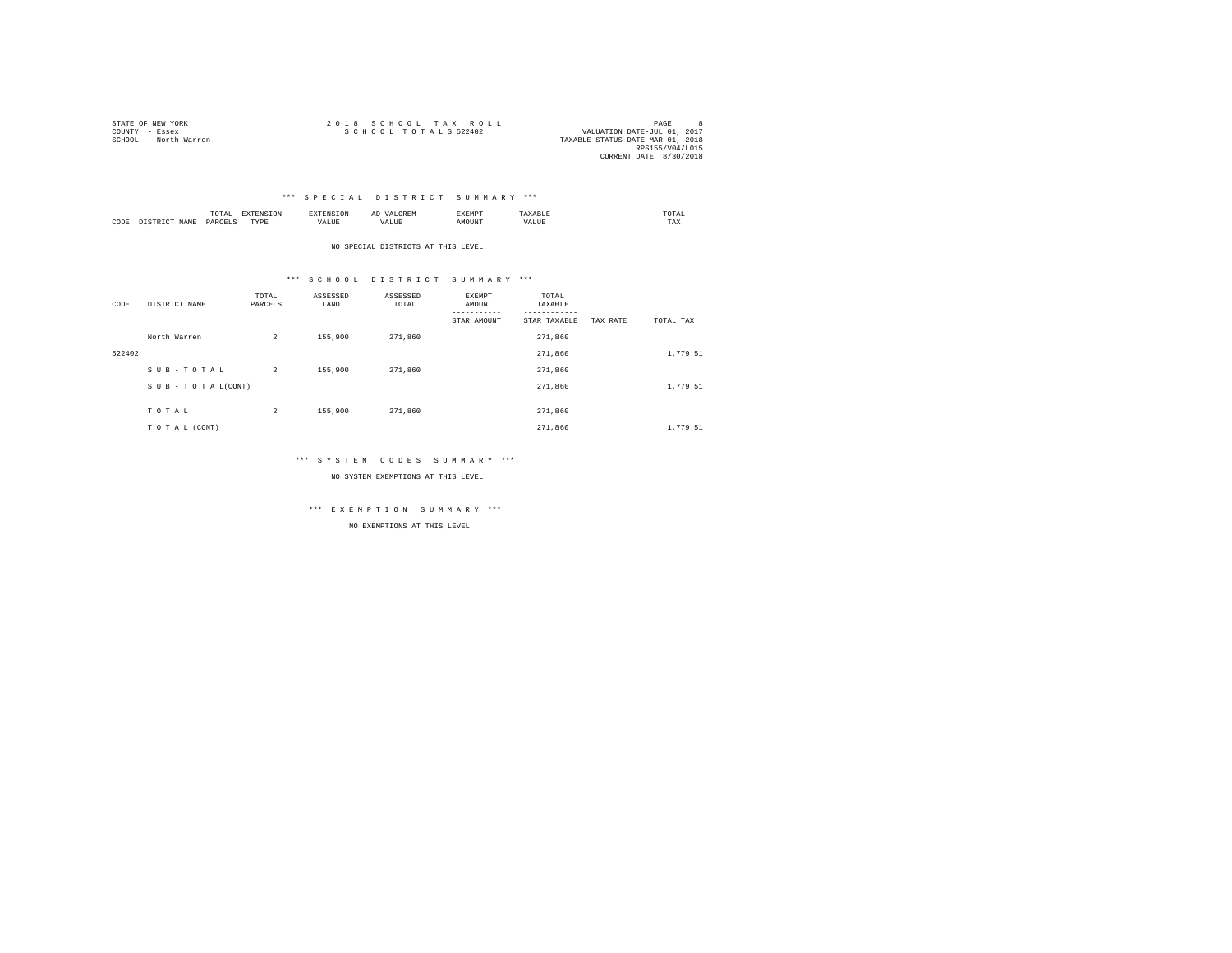| STATE OF NEW YORK     | 2018 SCHOOL TAX ROLL                                | PAGE            |  |
|-----------------------|-----------------------------------------------------|-----------------|--|
| COUNTY - Essex        | SCHOOL TOTALS 522402<br>VALUATION DATE-JUL 01, 2017 |                 |  |
| SCHOOL - North Warren | TAXABLE STATUS DATE-MAR 01, 2018                    |                 |  |
|                       |                                                     | RPS155/V04/L015 |  |
|                       | CURRENT DATE 8/30/2018                              |                 |  |

|      |      | ---<br>- - -<br><br>the contract of the contract of the contract of |           |               | $\cdots$ | EXEMP' |                | . JTAL .<br>the contract of the contract of the contract of |
|------|------|---------------------------------------------------------------------|-----------|---------------|----------|--------|----------------|-------------------------------------------------------------|
| CODE | NAME |                                                                     | TVDF<br>. | - ---<br>ALUI |          | MOUN'L | $  -$<br>(ALU. | TAX                                                         |

NO SPECIAL DISTRICTS AT THIS LEVEL

## \*\*\* S C H O O L D I S T R I C T S U M M A R Y \*\*\*

| CODE   | DISTRICT NAME   | TOTAL<br>PARCELS | ASSESSED<br>LAND | ASSESSED<br>TOTAL | EXEMPT<br>AMOUNT<br>---------<br>STAR AMOUNT | TOTAL<br>TAXABLE<br>---------<br>STAR TAXABLE | TAX RATE | TOTAL TAX |  |
|--------|-----------------|------------------|------------------|-------------------|----------------------------------------------|-----------------------------------------------|----------|-----------|--|
|        | North Warren    | $\overline{a}$   | 155,900          | 271,860           |                                              | 271,860                                       |          |           |  |
| 522402 |                 |                  |                  |                   |                                              | 271,860                                       |          | 1,779.51  |  |
|        | SUB-TOTAL       | $\overline{a}$   | 155,900          | 271,860           |                                              | 271,860                                       |          |           |  |
|        | SUB-TOTAL(CONT) |                  |                  |                   |                                              | 271,860                                       |          | 1,779.51  |  |
|        | TOTAL           | $\overline{a}$   | 155,900          | 271,860           |                                              | 271,860                                       |          |           |  |
|        | TO TAL (CONT)   |                  |                  |                   |                                              | 271,860                                       |          | 1,779.51  |  |

## \*\*\* S Y S T E M C O D E S S U M M A R Y \*\*\*

NO SYSTEM EXEMPTIONS AT THIS LEVEL

\*\*\* E X E M P T I O N S U M M A R Y \*\*\*